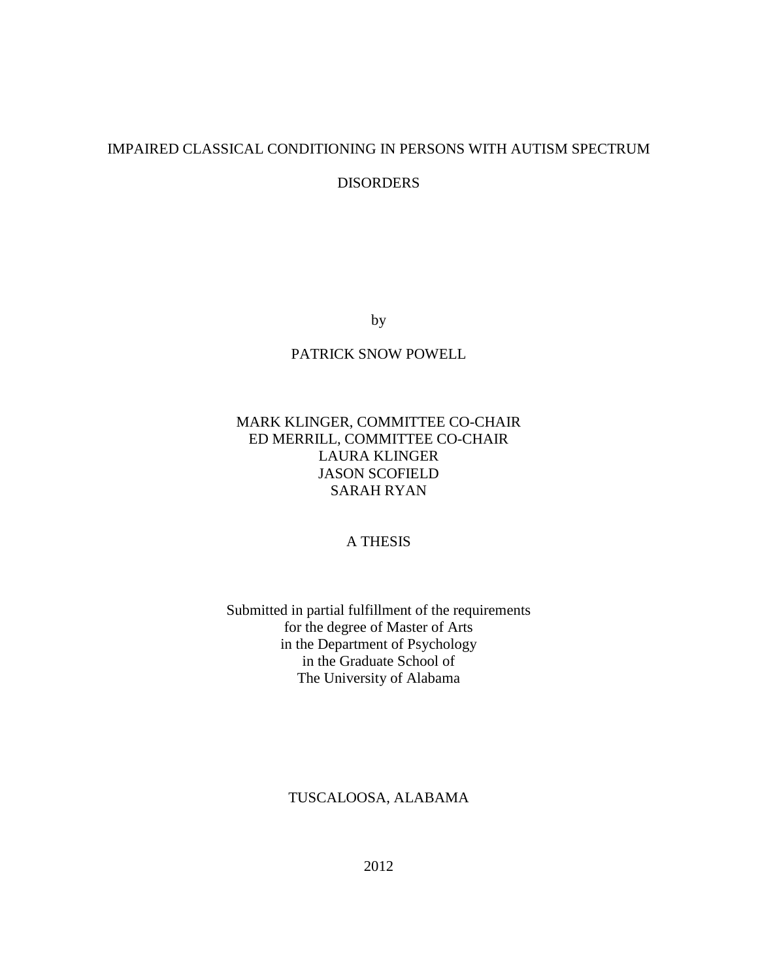## IMPAIRED CLASSICAL CONDITIONING IN PERSONS WITH AUTISM SPECTRUM

DISORDERS

by

## PATRICK SNOW POWELL

## MARK KLINGER, COMMITTEE CO-CHAIR ED MERRILL, COMMITTEE CO-CHAIR LAURA KLINGER JASON SCOFIELD SARAH RYAN

## A THESIS

## Submitted in partial fulfillment of the requirements for the degree of Master of Arts in the Department of Psychology in the Graduate School of The University of Alabama

## TUSCALOOSA, ALABAMA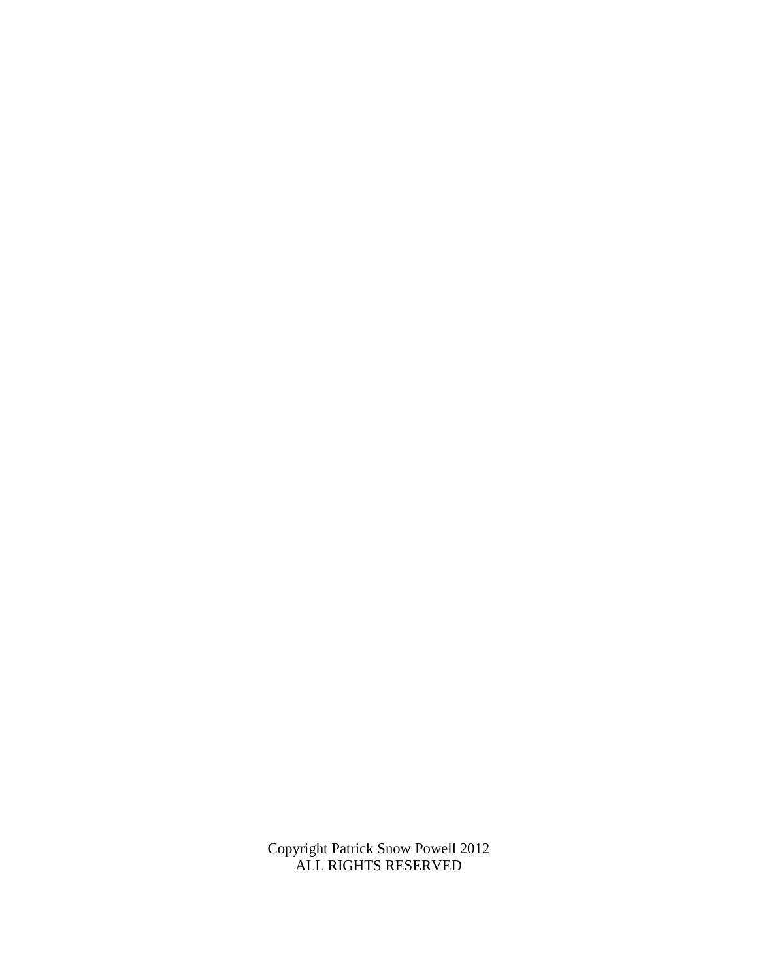Copyright Patrick Snow Powell 2012 ALL RIGHTS RESERVED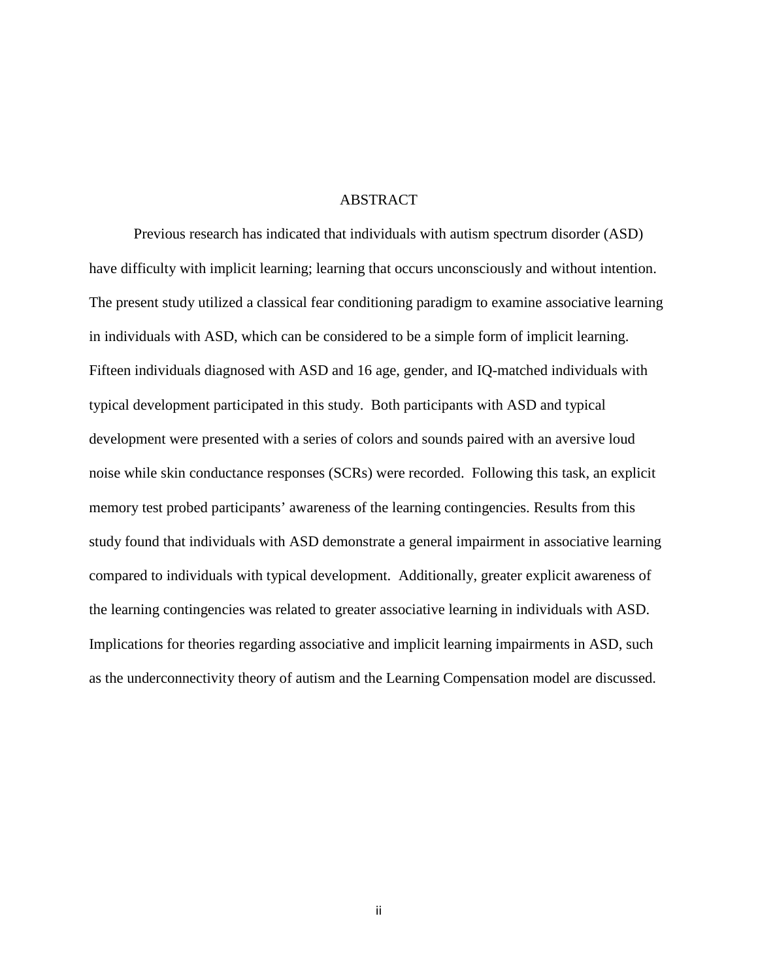#### ABSTRACT

Previous research has indicated that individuals with autism spectrum disorder (ASD) have difficulty with implicit learning; learning that occurs unconsciously and without intention. The present study utilized a classical fear conditioning paradigm to examine associative learning in individuals with ASD, which can be considered to be a simple form of implicit learning. Fifteen individuals diagnosed with ASD and 16 age, gender, and IQ-matched individuals with typical development participated in this study. Both participants with ASD and typical development were presented with a series of colors and sounds paired with an aversive loud noise while skin conductance responses (SCRs) were recorded. Following this task, an explicit memory test probed participants' awareness of the learning contingencies. Results from this study found that individuals with ASD demonstrate a general impairment in associative learning compared to individuals with typical development. Additionally, greater explicit awareness of the learning contingencies was related to greater associative learning in individuals with ASD. Implications for theories regarding associative and implicit learning impairments in ASD, such as the underconnectivity theory of autism and the Learning Compensation model are discussed.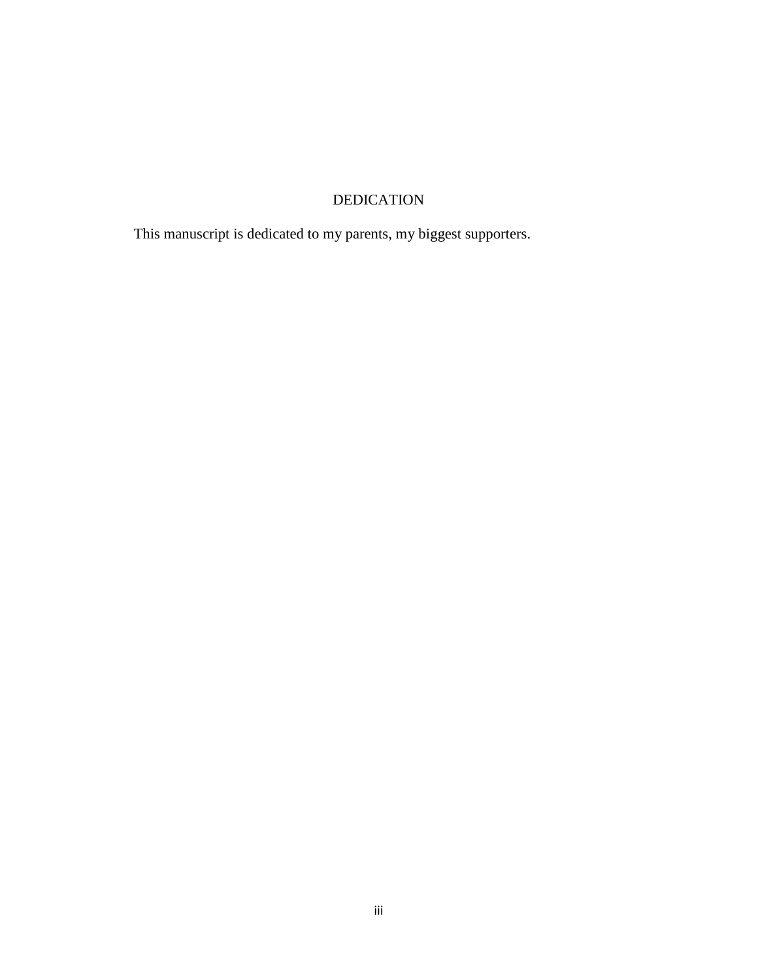# DEDICATION

This manuscript is dedicated to my parents, my biggest supporters.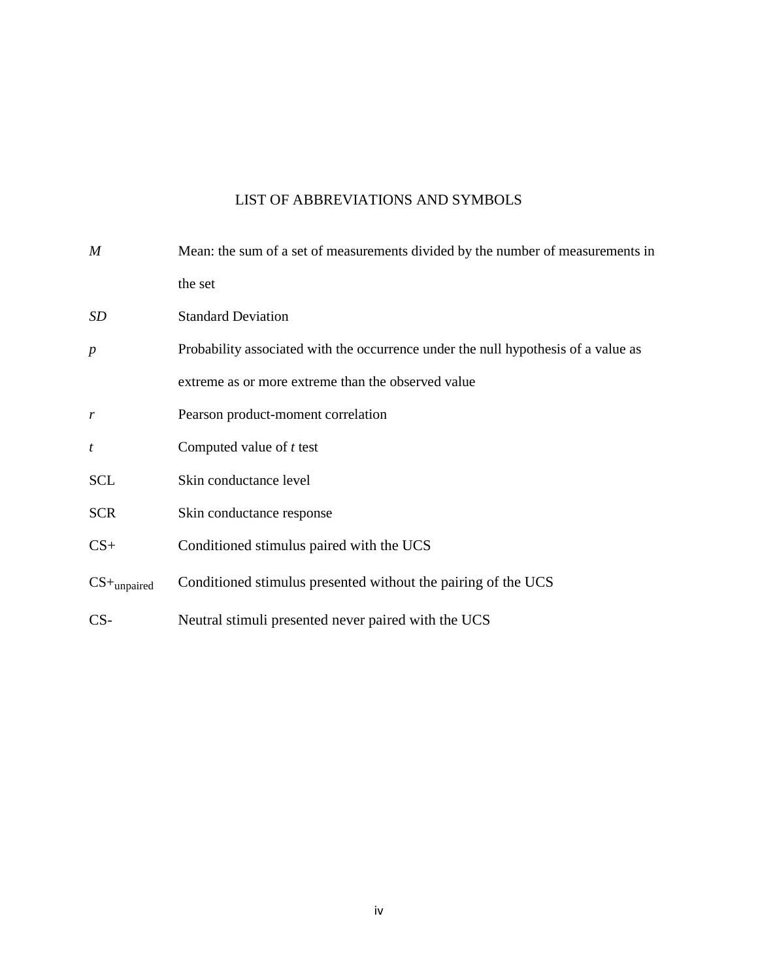# LIST OF ABBREVIATIONS AND SYMBOLS

| $\boldsymbol{M}$          | Mean: the sum of a set of measurements divided by the number of measurements in    |  |  |  |  |  |
|---------------------------|------------------------------------------------------------------------------------|--|--|--|--|--|
|                           | the set                                                                            |  |  |  |  |  |
| SD                        | <b>Standard Deviation</b>                                                          |  |  |  |  |  |
| $\boldsymbol{p}$          | Probability associated with the occurrence under the null hypothesis of a value as |  |  |  |  |  |
|                           | extreme as or more extreme than the observed value                                 |  |  |  |  |  |
| $\boldsymbol{r}$          | Pearson product-moment correlation                                                 |  |  |  |  |  |
| $\boldsymbol{t}$          | Computed value of $t$ test                                                         |  |  |  |  |  |
| <b>SCL</b>                | Skin conductance level                                                             |  |  |  |  |  |
| <b>SCR</b>                | Skin conductance response                                                          |  |  |  |  |  |
| $CS+$                     | Conditioned stimulus paired with the UCS                                           |  |  |  |  |  |
| $CS+$ <sub>unpaired</sub> | Conditioned stimulus presented without the pairing of the UCS                      |  |  |  |  |  |
| $CS-$                     | Neutral stimuli presented never paired with the UCS                                |  |  |  |  |  |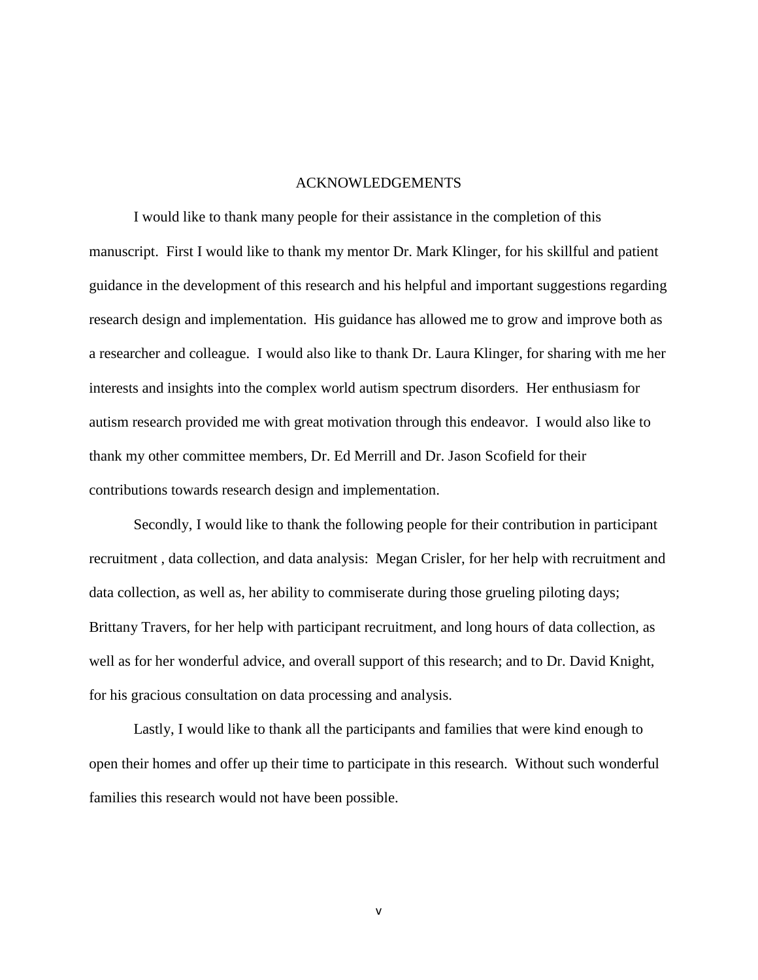#### ACKNOWLEDGEMENTS

I would like to thank many people for their assistance in the completion of this manuscript. First I would like to thank my mentor Dr. Mark Klinger, for his skillful and patient guidance in the development of this research and his helpful and important suggestions regarding research design and implementation. His guidance has allowed me to grow and improve both as a researcher and colleague. I would also like to thank Dr. Laura Klinger, for sharing with me her interests and insights into the complex world autism spectrum disorders. Her enthusiasm for autism research provided me with great motivation through this endeavor. I would also like to thank my other committee members, Dr. Ed Merrill and Dr. Jason Scofield for their contributions towards research design and implementation.

Secondly, I would like to thank the following people for their contribution in participant recruitment , data collection, and data analysis: Megan Crisler, for her help with recruitment and data collection, as well as, her ability to commiserate during those grueling piloting days; Brittany Travers, for her help with participant recruitment, and long hours of data collection, as well as for her wonderful advice, and overall support of this research; and to Dr. David Knight, for his gracious consultation on data processing and analysis.

Lastly, I would like to thank all the participants and families that were kind enough to open their homes and offer up their time to participate in this research. Without such wonderful families this research would not have been possible.

v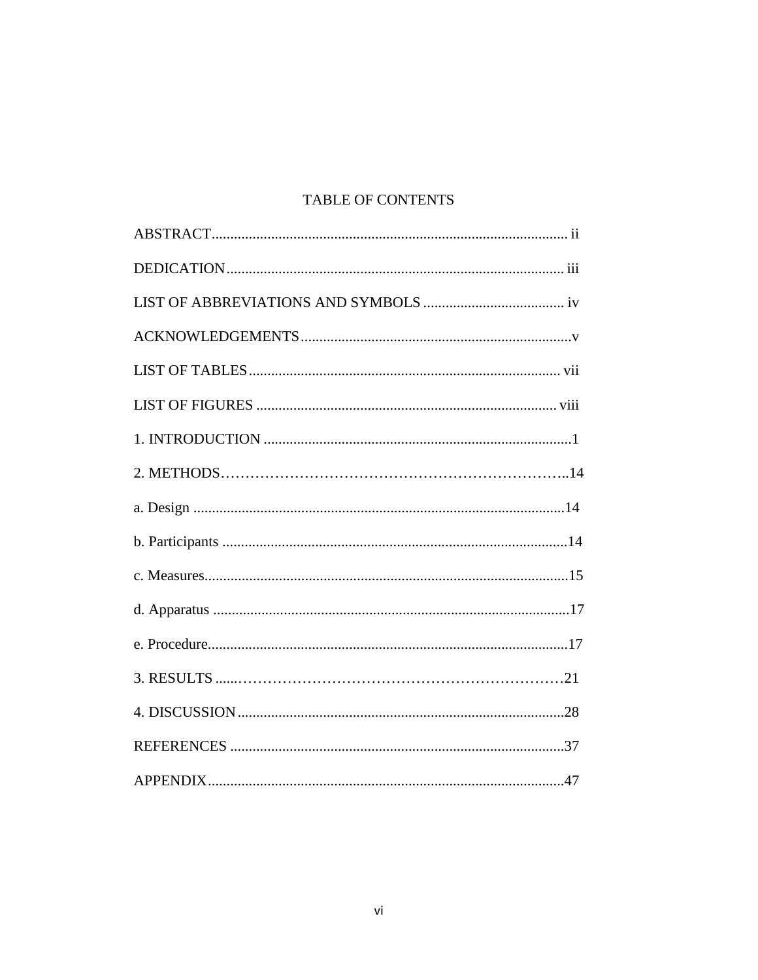# TABLE OF CONTENTS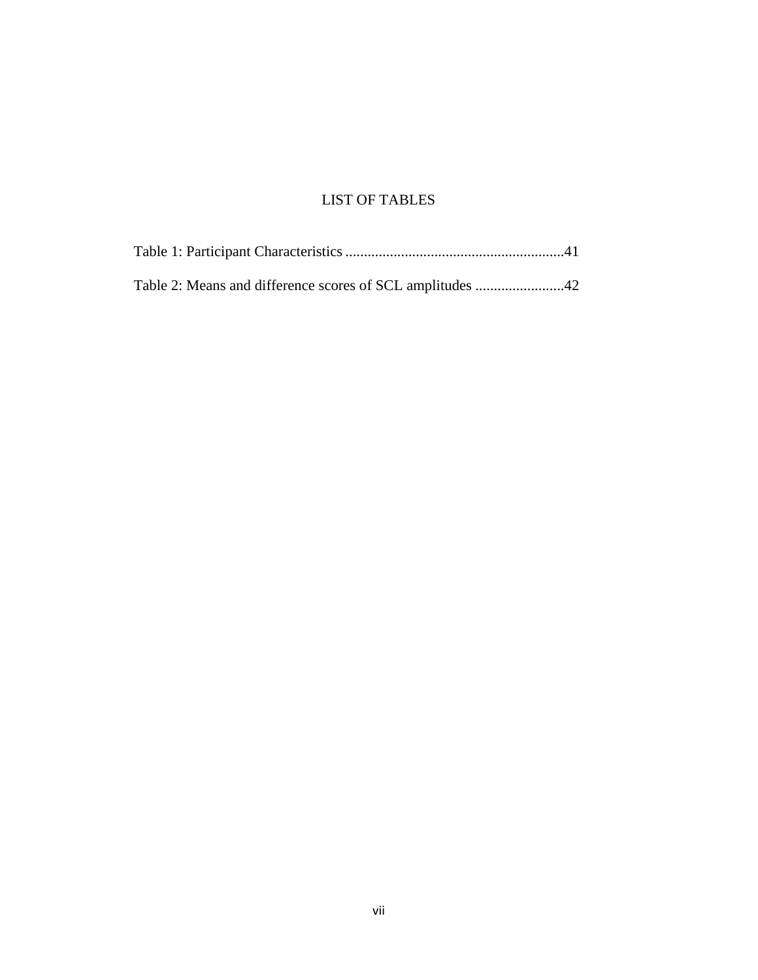# LIST OF TABLES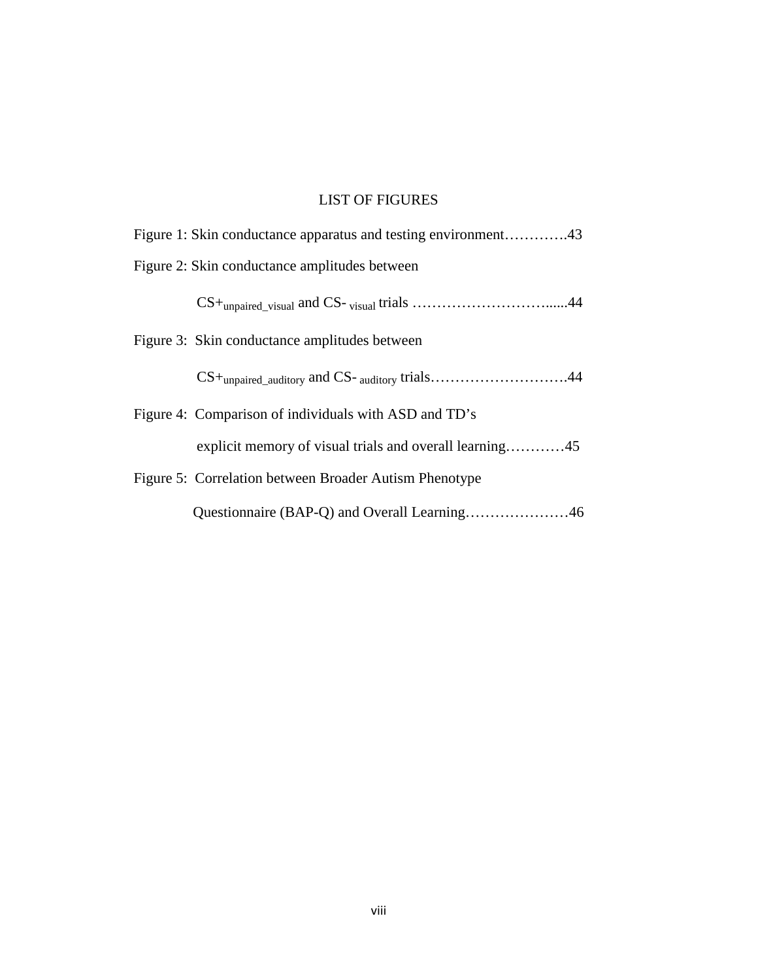# LIST OF FIGURES

| Figure 1: Skin conductance apparatus and testing environment43          |  |
|-------------------------------------------------------------------------|--|
| Figure 2: Skin conductance amplitudes between                           |  |
|                                                                         |  |
| Figure 3: Skin conductance amplitudes between                           |  |
| $CS+$ <sub>unpaired_auditory</sub> and CS- <sub>auditory</sub> trials44 |  |
| Figure 4: Comparison of individuals with ASD and TD's                   |  |
| explicit memory of visual trials and overall learning45                 |  |
| Figure 5: Correlation between Broader Autism Phenotype                  |  |
|                                                                         |  |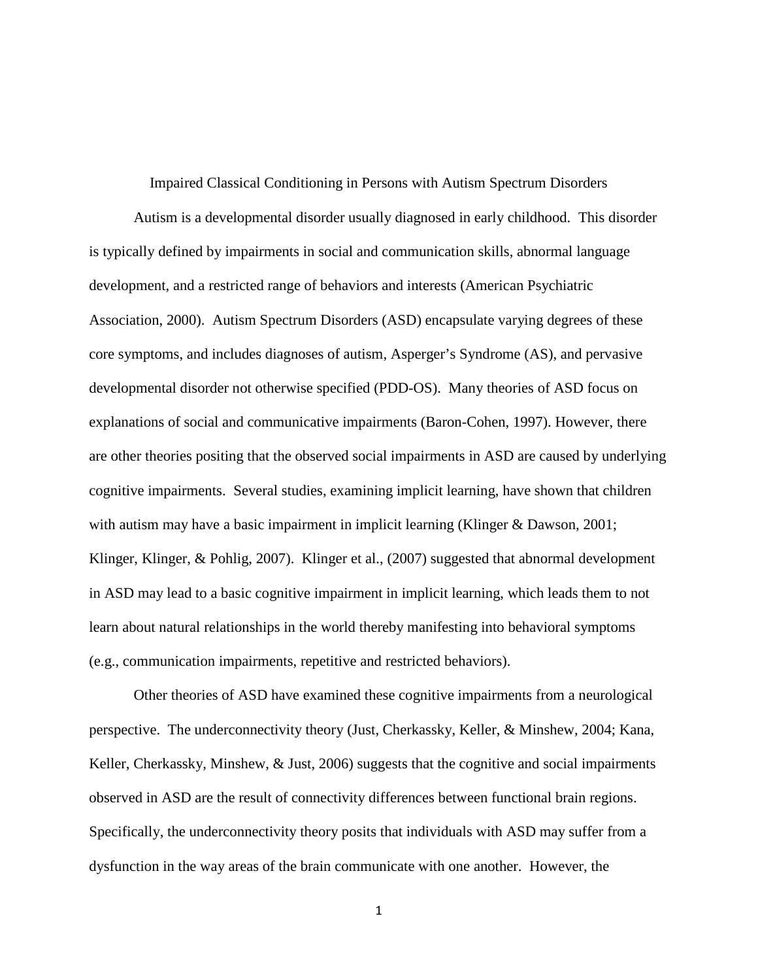Impaired Classical Conditioning in Persons with Autism Spectrum Disorders Autism is a developmental disorder usually diagnosed in early childhood. This disorder is typically defined by impairments in social and communication skills, abnormal language development, and a restricted range of behaviors and interests (American Psychiatric Association, 2000). Autism Spectrum Disorders (ASD) encapsulate varying degrees of these core symptoms, and includes diagnoses of autism, Asperger's Syndrome (AS), and pervasive developmental disorder not otherwise specified (PDD-OS). Many theories of ASD focus on explanations of social and communicative impairments (Baron-Cohen, 1997). However, there are other theories positing that the observed social impairments in ASD are caused by underlying cognitive impairments. Several studies, examining implicit learning, have shown that children with autism may have a basic impairment in implicit learning (Klinger & Dawson, 2001; Klinger, Klinger, & Pohlig, 2007). Klinger et al., (2007) suggested that abnormal development in ASD may lead to a basic cognitive impairment in implicit learning, which leads them to not learn about natural relationships in the world thereby manifesting into behavioral symptoms (e.g., communication impairments, repetitive and restricted behaviors).

Other theories of ASD have examined these cognitive impairments from a neurological perspective. The underconnectivity theory (Just, Cherkassky, Keller, & Minshew, 2004; Kana, Keller, Cherkassky, Minshew, & Just, 2006) suggests that the cognitive and social impairments observed in ASD are the result of connectivity differences between functional brain regions. Specifically, the underconnectivity theory posits that individuals with ASD may suffer from a dysfunction in the way areas of the brain communicate with one another. However, the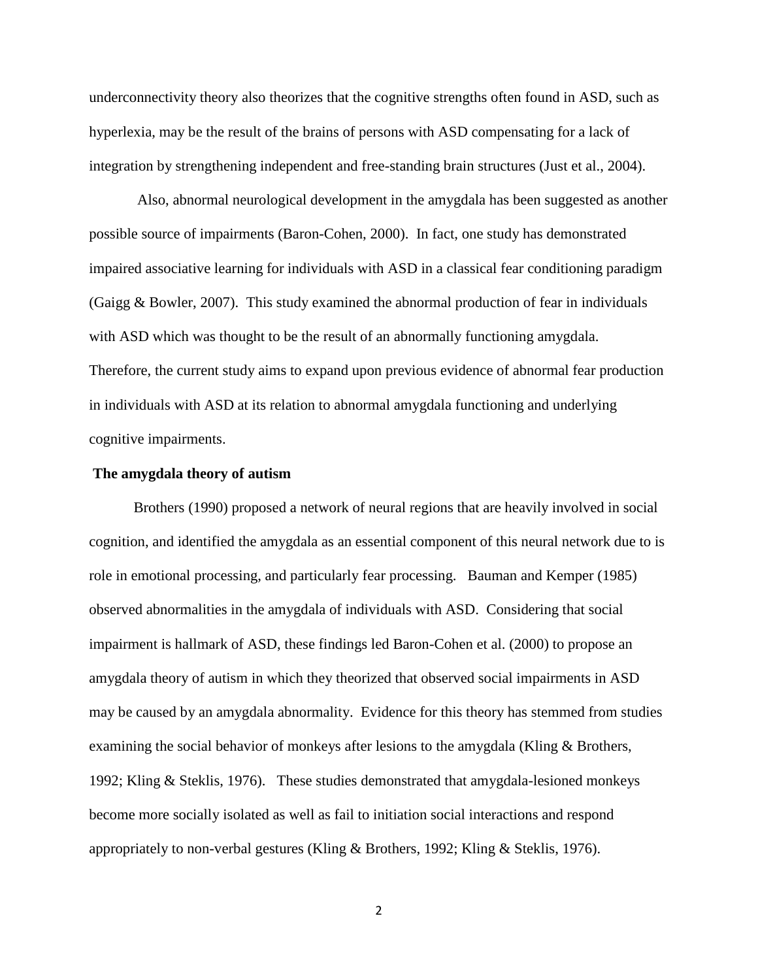underconnectivity theory also theorizes that the cognitive strengths often found in ASD, such as hyperlexia, may be the result of the brains of persons with ASD compensating for a lack of integration by strengthening independent and free-standing brain structures (Just et al., 2004).

Also, abnormal neurological development in the amygdala has been suggested as another possible source of impairments (Baron-Cohen, 2000). In fact, one study has demonstrated impaired associative learning for individuals with ASD in a classical fear conditioning paradigm (Gaigg & Bowler, 2007). This study examined the abnormal production of fear in individuals with ASD which was thought to be the result of an abnormally functioning amygdala. Therefore, the current study aims to expand upon previous evidence of abnormal fear production in individuals with ASD at its relation to abnormal amygdala functioning and underlying cognitive impairments.

#### **The amygdala theory of autism**

Brothers (1990) proposed a network of neural regions that are heavily involved in social cognition, and identified the amygdala as an essential component of this neural network due to is role in emotional processing, and particularly fear processing. Bauman and Kemper (1985) observed abnormalities in the amygdala of individuals with ASD. Considering that social impairment is hallmark of ASD, these findings led Baron-Cohen et al. (2000) to propose an amygdala theory of autism in which they theorized that observed social impairments in ASD may be caused by an amygdala abnormality. Evidence for this theory has stemmed from studies examining the social behavior of monkeys after lesions to the amygdala (Kling  $\&$  Brothers, 1992; Kling & Steklis, 1976). These studies demonstrated that amygdala-lesioned monkeys become more socially isolated as well as fail to initiation social interactions and respond appropriately to non-verbal gestures (Kling & Brothers, 1992; Kling & Steklis, 1976).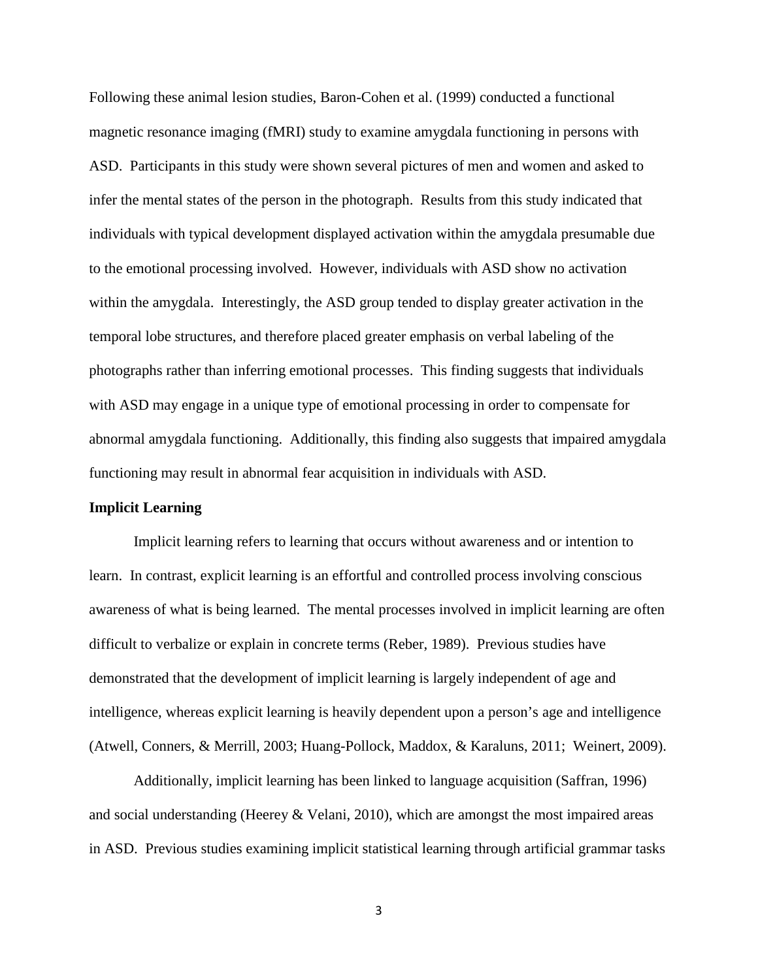Following these animal lesion studies, Baron-Cohen et al. (1999) conducted a functional magnetic resonance imaging (fMRI) study to examine amygdala functioning in persons with ASD. Participants in this study were shown several pictures of men and women and asked to infer the mental states of the person in the photograph. Results from this study indicated that individuals with typical development displayed activation within the amygdala presumable due to the emotional processing involved. However, individuals with ASD show no activation within the amygdala. Interestingly, the ASD group tended to display greater activation in the temporal lobe structures, and therefore placed greater emphasis on verbal labeling of the photographs rather than inferring emotional processes. This finding suggests that individuals with ASD may engage in a unique type of emotional processing in order to compensate for abnormal amygdala functioning. Additionally, this finding also suggests that impaired amygdala functioning may result in abnormal fear acquisition in individuals with ASD.

#### **Implicit Learning**

Implicit learning refers to learning that occurs without awareness and or intention to learn. In contrast, explicit learning is an effortful and controlled process involving conscious awareness of what is being learned. The mental processes involved in implicit learning are often difficult to verbalize or explain in concrete terms (Reber, 1989). Previous studies have demonstrated that the development of implicit learning is largely independent of age and intelligence, whereas explicit learning is heavily dependent upon a person's age and intelligence (Atwell, Conners, & Merrill, 2003; Huang-Pollock, Maddox, & Karaluns, 2011; Weinert, 2009).

Additionally, implicit learning has been linked to language acquisition (Saffran, 1996) and social understanding (Heerey  $&$  Velani, 2010), which are amongst the most impaired areas in ASD. Previous studies examining implicit statistical learning through artificial grammar tasks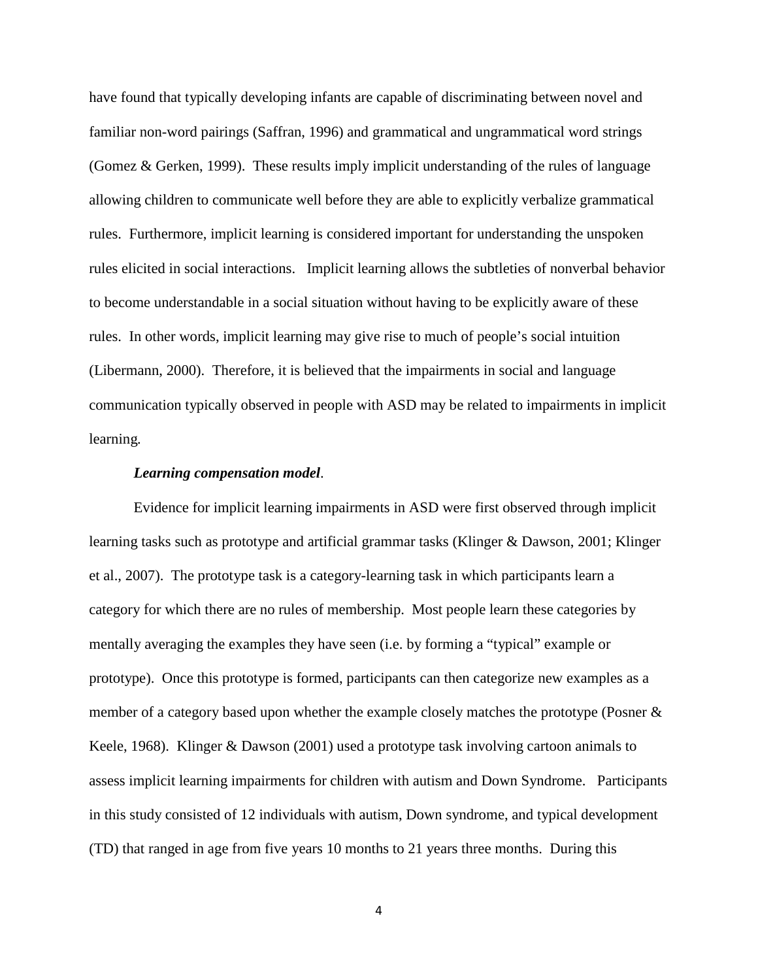have found that typically developing infants are capable of discriminating between novel and familiar non-word pairings (Saffran, 1996) and grammatical and ungrammatical word strings (Gomez & Gerken, 1999). These results imply implicit understanding of the rules of language allowing children to communicate well before they are able to explicitly verbalize grammatical rules. Furthermore, implicit learning is considered important for understanding the unspoken rules elicited in social interactions. Implicit learning allows the subtleties of nonverbal behavior to become understandable in a social situation without having to be explicitly aware of these rules. In other words, implicit learning may give rise to much of people's social intuition (Libermann, 2000). Therefore, it is believed that the impairments in social and language communication typically observed in people with ASD may be related to impairments in implicit learning*.*

#### *Learning compensation model*.

Evidence for implicit learning impairments in ASD were first observed through implicit learning tasks such as prototype and artificial grammar tasks (Klinger & Dawson, 2001; Klinger et al., 2007). The prototype task is a category-learning task in which participants learn a category for which there are no rules of membership. Most people learn these categories by mentally averaging the examples they have seen (i.e. by forming a "typical" example or prototype). Once this prototype is formed, participants can then categorize new examples as a member of a category based upon whether the example closely matches the prototype (Posner & Keele, 1968). Klinger & Dawson (2001) used a prototype task involving cartoon animals to assess implicit learning impairments for children with autism and Down Syndrome. Participants in this study consisted of 12 individuals with autism, Down syndrome, and typical development (TD) that ranged in age from five years 10 months to 21 years three months. During this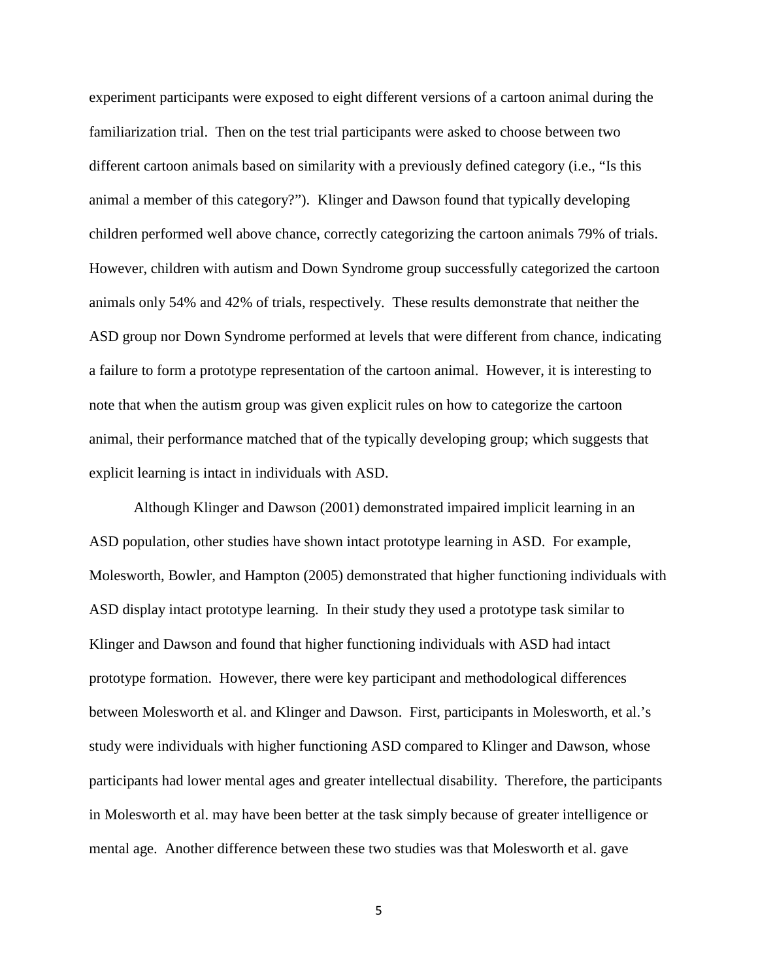experiment participants were exposed to eight different versions of a cartoon animal during the familiarization trial. Then on the test trial participants were asked to choose between two different cartoon animals based on similarity with a previously defined category (i.e., "Is this animal a member of this category?"). Klinger and Dawson found that typically developing children performed well above chance, correctly categorizing the cartoon animals 79% of trials. However, children with autism and Down Syndrome group successfully categorized the cartoon animals only 54% and 42% of trials, respectively. These results demonstrate that neither the ASD group nor Down Syndrome performed at levels that were different from chance, indicating a failure to form a prototype representation of the cartoon animal. However, it is interesting to note that when the autism group was given explicit rules on how to categorize the cartoon animal, their performance matched that of the typically developing group; which suggests that explicit learning is intact in individuals with ASD.

Although Klinger and Dawson (2001) demonstrated impaired implicit learning in an ASD population, other studies have shown intact prototype learning in ASD. For example, Molesworth, Bowler, and Hampton (2005) demonstrated that higher functioning individuals with ASD display intact prototype learning. In their study they used a prototype task similar to Klinger and Dawson and found that higher functioning individuals with ASD had intact prototype formation. However, there were key participant and methodological differences between Molesworth et al. and Klinger and Dawson. First, participants in Molesworth, et al.'s study were individuals with higher functioning ASD compared to Klinger and Dawson, whose participants had lower mental ages and greater intellectual disability. Therefore, the participants in Molesworth et al. may have been better at the task simply because of greater intelligence or mental age. Another difference between these two studies was that Molesworth et al. gave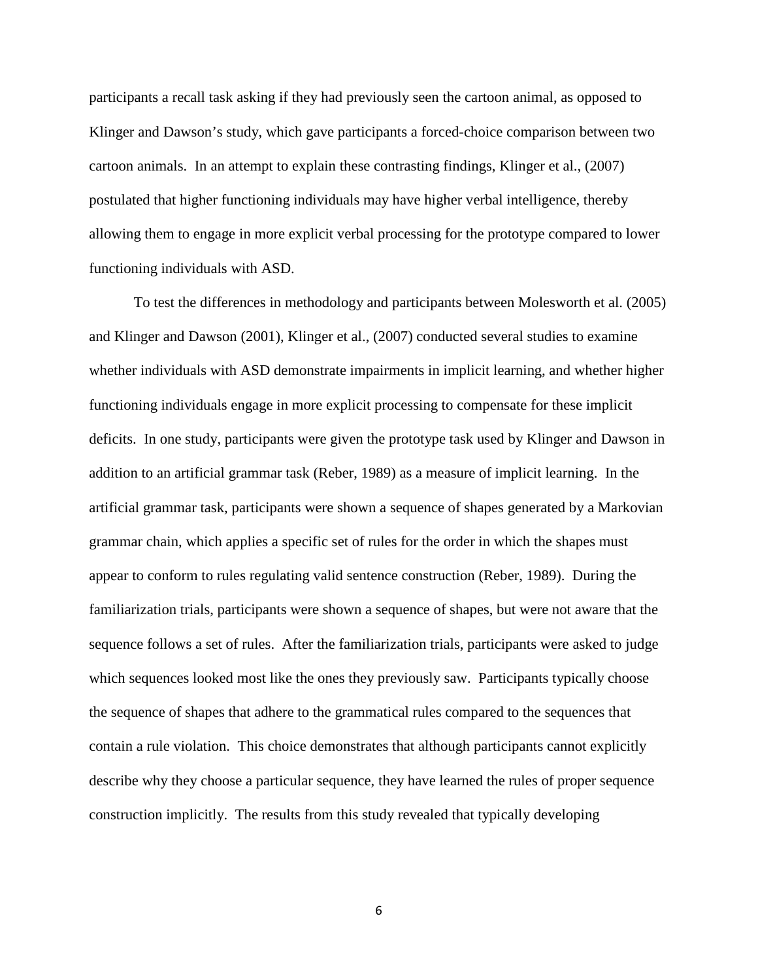participants a recall task asking if they had previously seen the cartoon animal, as opposed to Klinger and Dawson's study, which gave participants a forced-choice comparison between two cartoon animals. In an attempt to explain these contrasting findings, Klinger et al., (2007) postulated that higher functioning individuals may have higher verbal intelligence, thereby allowing them to engage in more explicit verbal processing for the prototype compared to lower functioning individuals with ASD.

To test the differences in methodology and participants between Molesworth et al. (2005) and Klinger and Dawson (2001), Klinger et al., (2007) conducted several studies to examine whether individuals with ASD demonstrate impairments in implicit learning, and whether higher functioning individuals engage in more explicit processing to compensate for these implicit deficits. In one study, participants were given the prototype task used by Klinger and Dawson in addition to an artificial grammar task (Reber, 1989) as a measure of implicit learning. In the artificial grammar task, participants were shown a sequence of shapes generated by a Markovian grammar chain, which applies a specific set of rules for the order in which the shapes must appear to conform to rules regulating valid sentence construction (Reber, 1989). During the familiarization trials, participants were shown a sequence of shapes, but were not aware that the sequence follows a set of rules. After the familiarization trials, participants were asked to judge which sequences looked most like the ones they previously saw. Participants typically choose the sequence of shapes that adhere to the grammatical rules compared to the sequences that contain a rule violation. This choice demonstrates that although participants cannot explicitly describe why they choose a particular sequence, they have learned the rules of proper sequence construction implicitly. The results from this study revealed that typically developing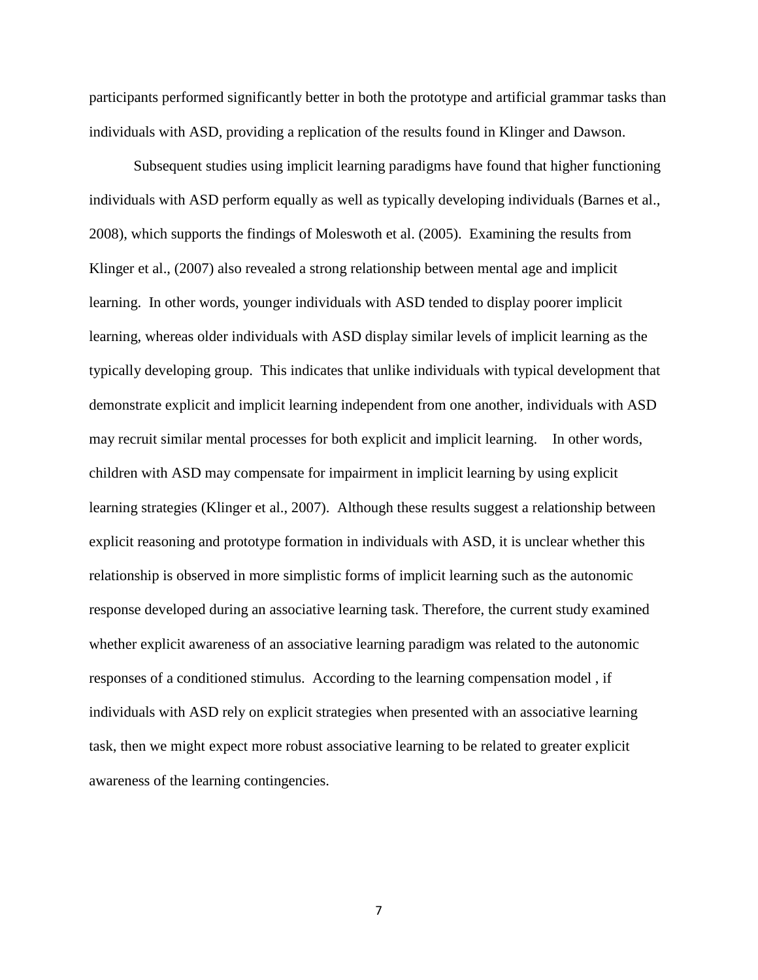participants performed significantly better in both the prototype and artificial grammar tasks than individuals with ASD, providing a replication of the results found in Klinger and Dawson.

Subsequent studies using implicit learning paradigms have found that higher functioning individuals with ASD perform equally as well as typically developing individuals (Barnes et al., 2008), which supports the findings of Moleswoth et al. (2005). Examining the results from Klinger et al., (2007) also revealed a strong relationship between mental age and implicit learning. In other words, younger individuals with ASD tended to display poorer implicit learning, whereas older individuals with ASD display similar levels of implicit learning as the typically developing group. This indicates that unlike individuals with typical development that demonstrate explicit and implicit learning independent from one another, individuals with ASD may recruit similar mental processes for both explicit and implicit learning. In other words, children with ASD may compensate for impairment in implicit learning by using explicit learning strategies (Klinger et al., 2007). Although these results suggest a relationship between explicit reasoning and prototype formation in individuals with ASD, it is unclear whether this relationship is observed in more simplistic forms of implicit learning such as the autonomic response developed during an associative learning task. Therefore, the current study examined whether explicit awareness of an associative learning paradigm was related to the autonomic responses of a conditioned stimulus. According to the learning compensation model , if individuals with ASD rely on explicit strategies when presented with an associative learning task, then we might expect more robust associative learning to be related to greater explicit awareness of the learning contingencies.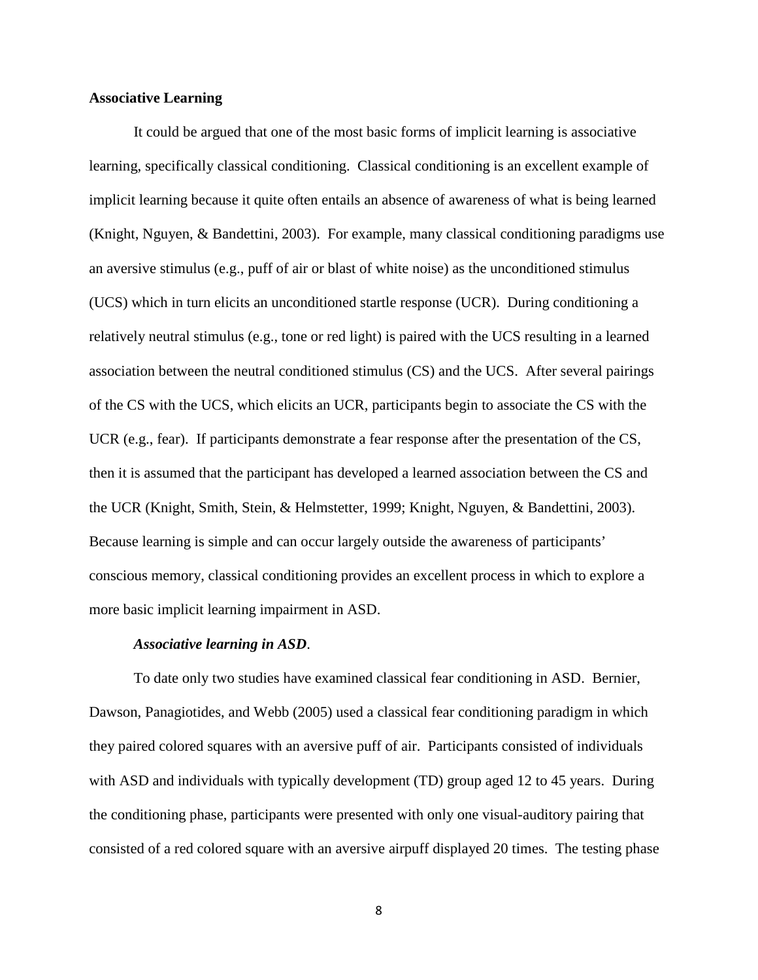#### **Associative Learning**

It could be argued that one of the most basic forms of implicit learning is associative learning, specifically classical conditioning. Classical conditioning is an excellent example of implicit learning because it quite often entails an absence of awareness of what is being learned (Knight, Nguyen, & Bandettini, 2003). For example, many classical conditioning paradigms use an aversive stimulus (e.g., puff of air or blast of white noise) as the unconditioned stimulus (UCS) which in turn elicits an unconditioned startle response (UCR). During conditioning a relatively neutral stimulus (e.g., tone or red light) is paired with the UCS resulting in a learned association between the neutral conditioned stimulus (CS) and the UCS. After several pairings of the CS with the UCS, which elicits an UCR, participants begin to associate the CS with the UCR (e.g., fear). If participants demonstrate a fear response after the presentation of the CS, then it is assumed that the participant has developed a learned association between the CS and the UCR (Knight, Smith, Stein, & Helmstetter, 1999; Knight, Nguyen, & Bandettini, 2003). Because learning is simple and can occur largely outside the awareness of participants' conscious memory, classical conditioning provides an excellent process in which to explore a more basic implicit learning impairment in ASD.

#### *Associative learning in ASD*.

To date only two studies have examined classical fear conditioning in ASD. Bernier, Dawson, Panagiotides, and Webb (2005) used a classical fear conditioning paradigm in which they paired colored squares with an aversive puff of air. Participants consisted of individuals with ASD and individuals with typically development (TD) group aged 12 to 45 years. During the conditioning phase, participants were presented with only one visual-auditory pairing that consisted of a red colored square with an aversive airpuff displayed 20 times. The testing phase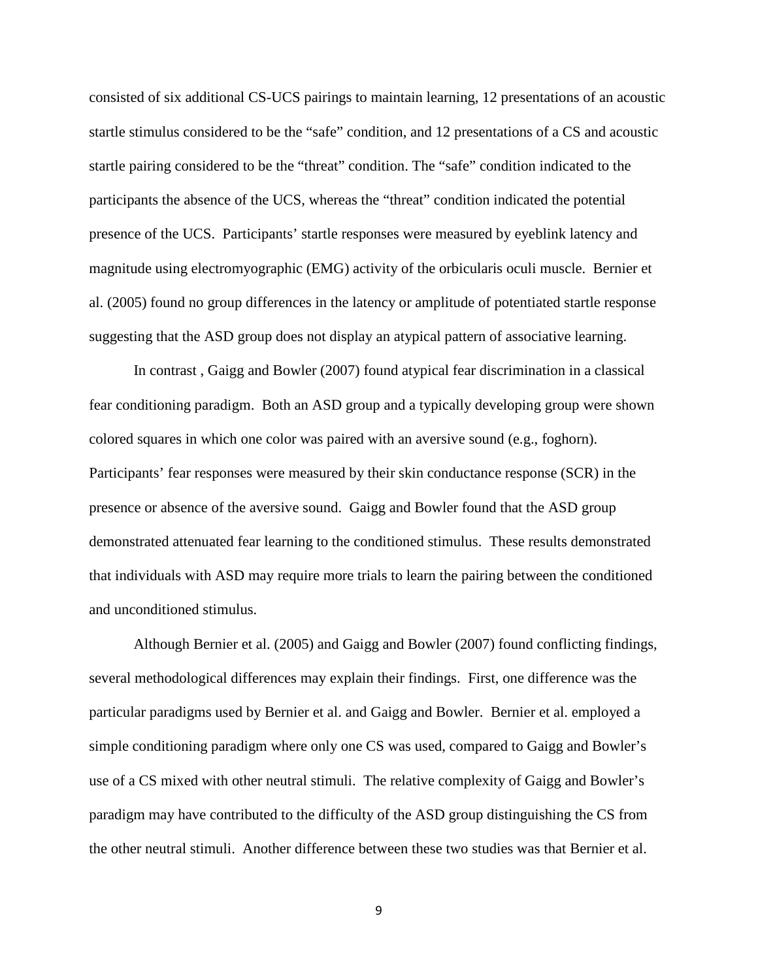consisted of six additional CS-UCS pairings to maintain learning, 12 presentations of an acoustic startle stimulus considered to be the "safe" condition, and 12 presentations of a CS and acoustic startle pairing considered to be the "threat" condition. The "safe" condition indicated to the participants the absence of the UCS, whereas the "threat" condition indicated the potential presence of the UCS. Participants' startle responses were measured by eyeblink latency and magnitude using electromyographic (EMG) activity of the orbicularis oculi muscle. Bernier et al. (2005) found no group differences in the latency or amplitude of potentiated startle response suggesting that the ASD group does not display an atypical pattern of associative learning.

In contrast , Gaigg and Bowler (2007) found atypical fear discrimination in a classical fear conditioning paradigm. Both an ASD group and a typically developing group were shown colored squares in which one color was paired with an aversive sound (e.g., foghorn). Participants' fear responses were measured by their skin conductance response (SCR) in the presence or absence of the aversive sound. Gaigg and Bowler found that the ASD group demonstrated attenuated fear learning to the conditioned stimulus. These results demonstrated that individuals with ASD may require more trials to learn the pairing between the conditioned and unconditioned stimulus.

Although Bernier et al. (2005) and Gaigg and Bowler (2007) found conflicting findings, several methodological differences may explain their findings. First, one difference was the particular paradigms used by Bernier et al. and Gaigg and Bowler. Bernier et al. employed a simple conditioning paradigm where only one CS was used, compared to Gaigg and Bowler's use of a CS mixed with other neutral stimuli. The relative complexity of Gaigg and Bowler's paradigm may have contributed to the difficulty of the ASD group distinguishing the CS from the other neutral stimuli. Another difference between these two studies was that Bernier et al.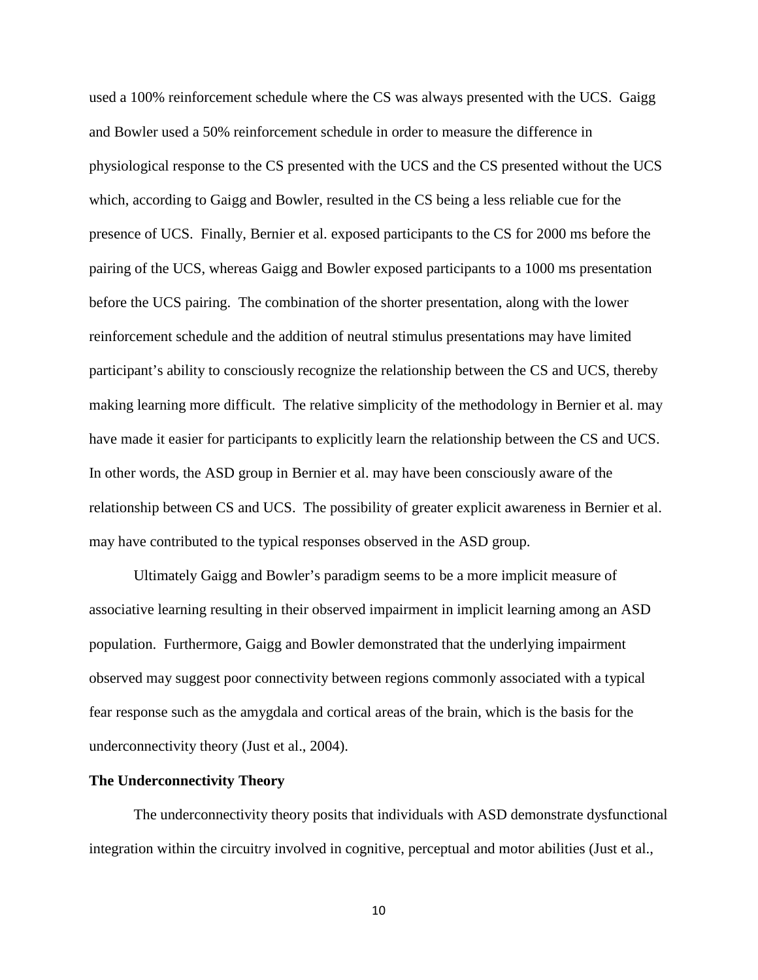used a 100% reinforcement schedule where the CS was always presented with the UCS. Gaigg and Bowler used a 50% reinforcement schedule in order to measure the difference in physiological response to the CS presented with the UCS and the CS presented without the UCS which, according to Gaigg and Bowler, resulted in the CS being a less reliable cue for the presence of UCS. Finally, Bernier et al. exposed participants to the CS for 2000 ms before the pairing of the UCS, whereas Gaigg and Bowler exposed participants to a 1000 ms presentation before the UCS pairing. The combination of the shorter presentation, along with the lower reinforcement schedule and the addition of neutral stimulus presentations may have limited participant's ability to consciously recognize the relationship between the CS and UCS, thereby making learning more difficult. The relative simplicity of the methodology in Bernier et al. may have made it easier for participants to explicitly learn the relationship between the CS and UCS. In other words, the ASD group in Bernier et al. may have been consciously aware of the relationship between CS and UCS. The possibility of greater explicit awareness in Bernier et al. may have contributed to the typical responses observed in the ASD group.

Ultimately Gaigg and Bowler's paradigm seems to be a more implicit measure of associative learning resulting in their observed impairment in implicit learning among an ASD population. Furthermore, Gaigg and Bowler demonstrated that the underlying impairment observed may suggest poor connectivity between regions commonly associated with a typical fear response such as the amygdala and cortical areas of the brain, which is the basis for the underconnectivity theory (Just et al., 2004).

#### **The Underconnectivity Theory**

The underconnectivity theory posits that individuals with ASD demonstrate dysfunctional integration within the circuitry involved in cognitive, perceptual and motor abilities (Just et al.,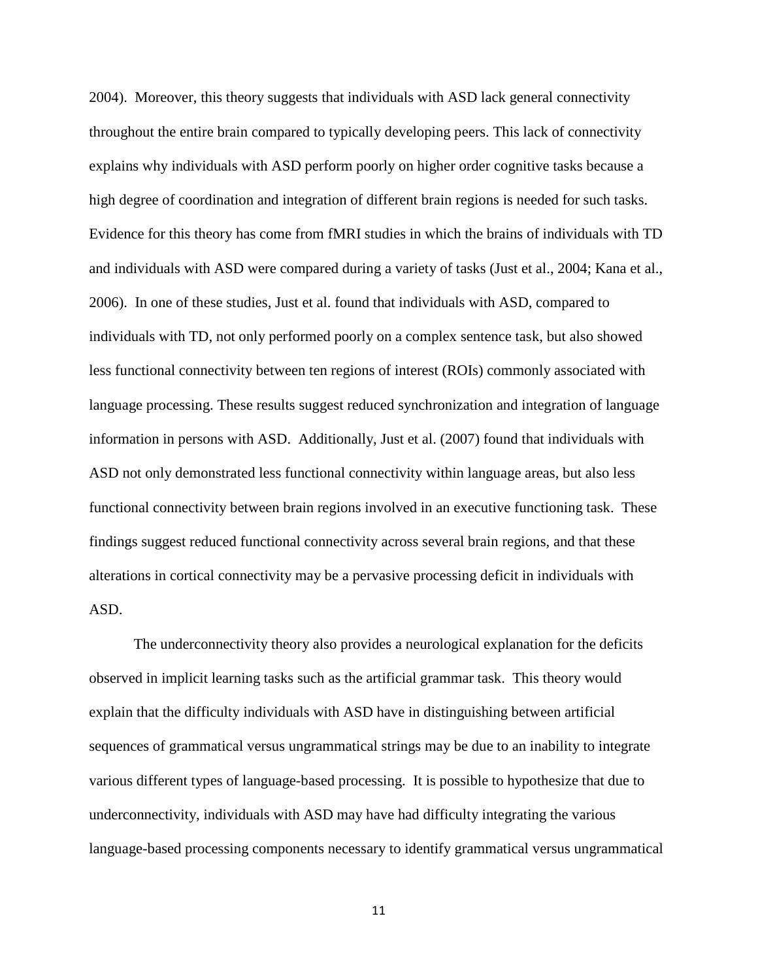2004). Moreover, this theory suggests that individuals with ASD lack general connectivity throughout the entire brain compared to typically developing peers. This lack of connectivity explains why individuals with ASD perform poorly on higher order cognitive tasks because a high degree of coordination and integration of different brain regions is needed for such tasks. Evidence for this theory has come from fMRI studies in which the brains of individuals with TD and individuals with ASD were compared during a variety of tasks (Just et al., 2004; Kana et al., 2006). In one of these studies, Just et al. found that individuals with ASD, compared to individuals with TD, not only performed poorly on a complex sentence task, but also showed less functional connectivity between ten regions of interest (ROIs) commonly associated with language processing. These results suggest reduced synchronization and integration of language information in persons with ASD. Additionally, Just et al. (2007) found that individuals with ASD not only demonstrated less functional connectivity within language areas, but also less functional connectivity between brain regions involved in an executive functioning task. These findings suggest reduced functional connectivity across several brain regions, and that these alterations in cortical connectivity may be a pervasive processing deficit in individuals with ASD.

The underconnectivity theory also provides a neurological explanation for the deficits observed in implicit learning tasks such as the artificial grammar task. This theory would explain that the difficulty individuals with ASD have in distinguishing between artificial sequences of grammatical versus ungrammatical strings may be due to an inability to integrate various different types of language-based processing. It is possible to hypothesize that due to underconnectivity, individuals with ASD may have had difficulty integrating the various language-based processing components necessary to identify grammatical versus ungrammatical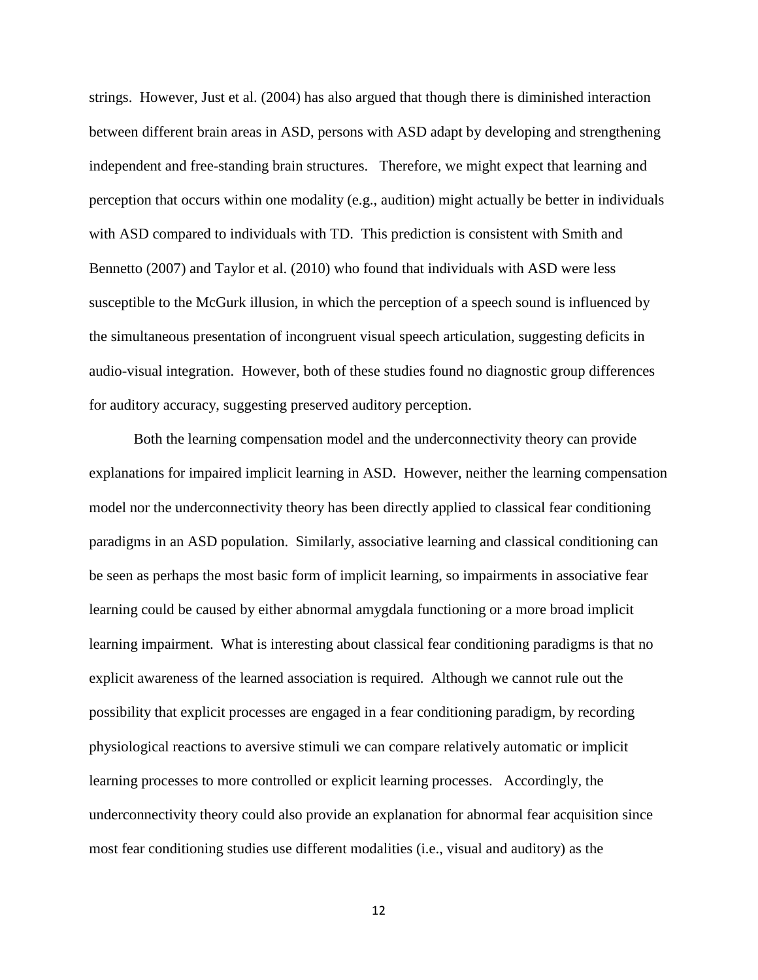strings. However, Just et al. (2004) has also argued that though there is diminished interaction between different brain areas in ASD, persons with ASD adapt by developing and strengthening independent and free-standing brain structures. Therefore, we might expect that learning and perception that occurs within one modality (e.g., audition) might actually be better in individuals with ASD compared to individuals with TD. This prediction is consistent with Smith and Bennetto (2007) and Taylor et al. (2010) who found that individuals with ASD were less susceptible to the McGurk illusion, in which the perception of a speech sound is influenced by the simultaneous presentation of incongruent visual speech articulation, suggesting deficits in audio-visual integration. However, both of these studies found no diagnostic group differences for auditory accuracy, suggesting preserved auditory perception.

Both the learning compensation model and the underconnectivity theory can provide explanations for impaired implicit learning in ASD. However, neither the learning compensation model nor the underconnectivity theory has been directly applied to classical fear conditioning paradigms in an ASD population. Similarly, associative learning and classical conditioning can be seen as perhaps the most basic form of implicit learning, so impairments in associative fear learning could be caused by either abnormal amygdala functioning or a more broad implicit learning impairment. What is interesting about classical fear conditioning paradigms is that no explicit awareness of the learned association is required. Although we cannot rule out the possibility that explicit processes are engaged in a fear conditioning paradigm, by recording physiological reactions to aversive stimuli we can compare relatively automatic or implicit learning processes to more controlled or explicit learning processes. Accordingly, the underconnectivity theory could also provide an explanation for abnormal fear acquisition since most fear conditioning studies use different modalities (i.e., visual and auditory) as the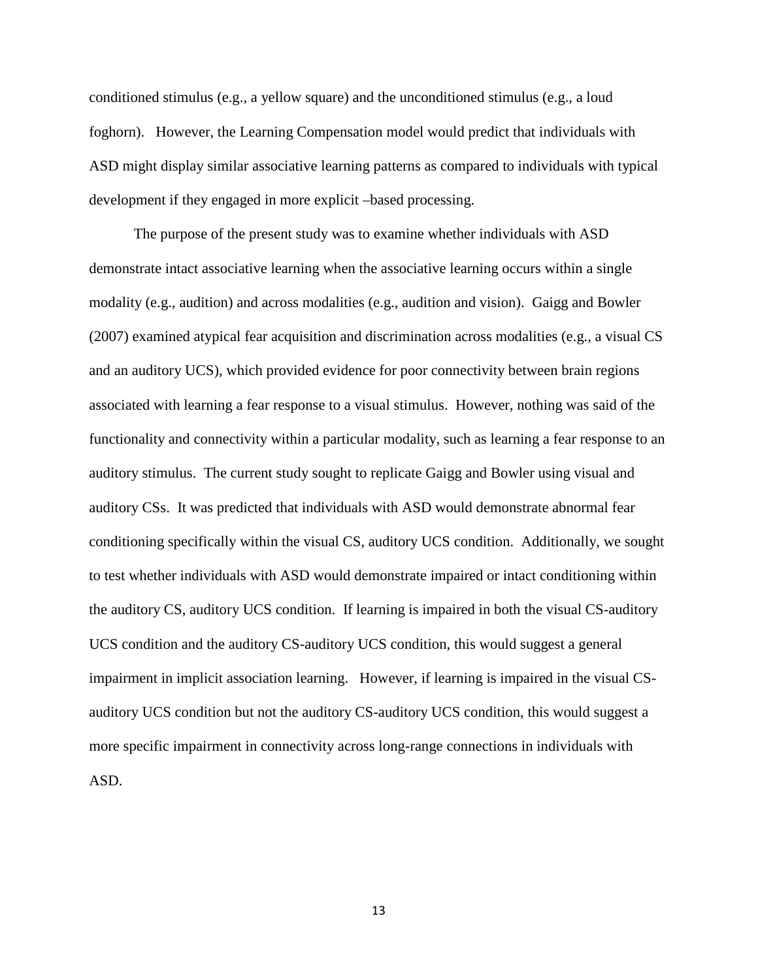conditioned stimulus (e.g., a yellow square) and the unconditioned stimulus (e.g., a loud foghorn). However, the Learning Compensation model would predict that individuals with ASD might display similar associative learning patterns as compared to individuals with typical development if they engaged in more explicit –based processing.

The purpose of the present study was to examine whether individuals with ASD demonstrate intact associative learning when the associative learning occurs within a single modality (e.g., audition) and across modalities (e.g., audition and vision). Gaigg and Bowler (2007) examined atypical fear acquisition and discrimination across modalities (e.g., a visual CS and an auditory UCS), which provided evidence for poor connectivity between brain regions associated with learning a fear response to a visual stimulus. However, nothing was said of the functionality and connectivity within a particular modality, such as learning a fear response to an auditory stimulus. The current study sought to replicate Gaigg and Bowler using visual and auditory CSs. It was predicted that individuals with ASD would demonstrate abnormal fear conditioning specifically within the visual CS, auditory UCS condition. Additionally, we sought to test whether individuals with ASD would demonstrate impaired or intact conditioning within the auditory CS, auditory UCS condition. If learning is impaired in both the visual CS-auditory UCS condition and the auditory CS-auditory UCS condition, this would suggest a general impairment in implicit association learning. However, if learning is impaired in the visual CSauditory UCS condition but not the auditory CS-auditory UCS condition, this would suggest a more specific impairment in connectivity across long-range connections in individuals with ASD.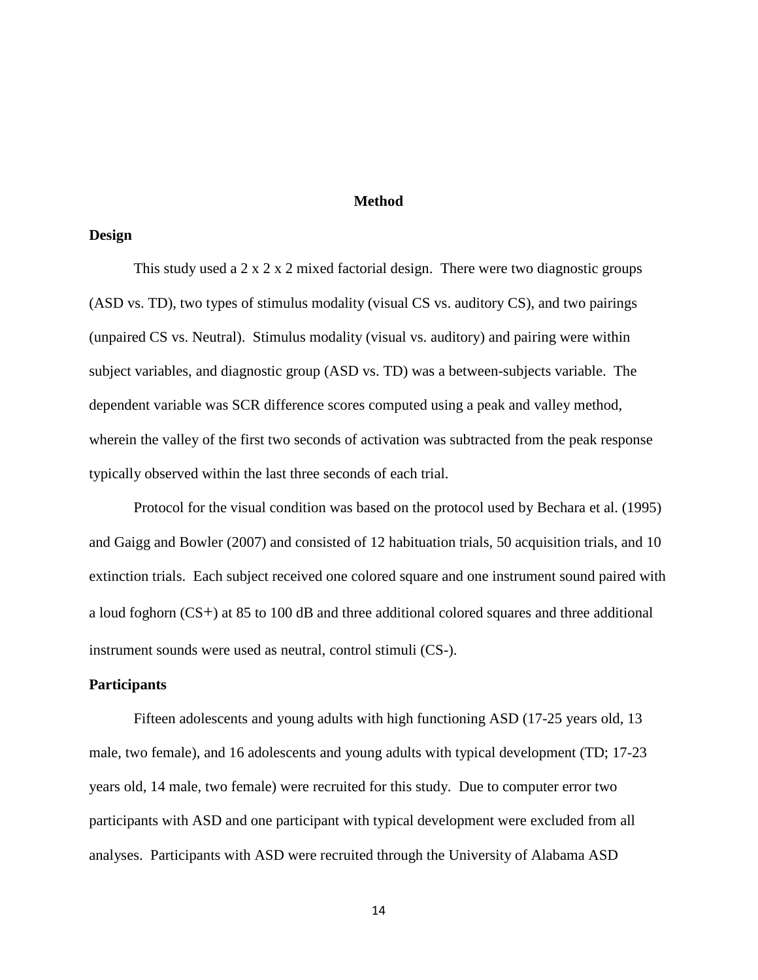#### **Method**

#### **Design**

This study used a  $2 \times 2 \times 2$  mixed factorial design. There were two diagnostic groups (ASD vs. TD), two types of stimulus modality (visual CS vs. auditory CS), and two pairings (unpaired CS vs. Neutral). Stimulus modality (visual vs. auditory) and pairing were within subject variables, and diagnostic group (ASD vs. TD) was a between-subjects variable. The dependent variable was SCR difference scores computed using a peak and valley method, wherein the valley of the first two seconds of activation was subtracted from the peak response typically observed within the last three seconds of each trial.

Protocol for the visual condition was based on the protocol used by Bechara et al. (1995) and Gaigg and Bowler (2007) and consisted of 12 habituation trials, 50 acquisition trials, and 10 extinction trials. Each subject received one colored square and one instrument sound paired with a loud foghorn (CS+) at 85 to 100 dB and three additional colored squares and three additional instrument sounds were used as neutral, control stimuli (CS-).

#### **Participants**

Fifteen adolescents and young adults with high functioning ASD (17-25 years old, 13 male, two female), and 16 adolescents and young adults with typical development (TD; 17-23 years old, 14 male, two female) were recruited for this study. Due to computer error two participants with ASD and one participant with typical development were excluded from all analyses. Participants with ASD were recruited through the University of Alabama ASD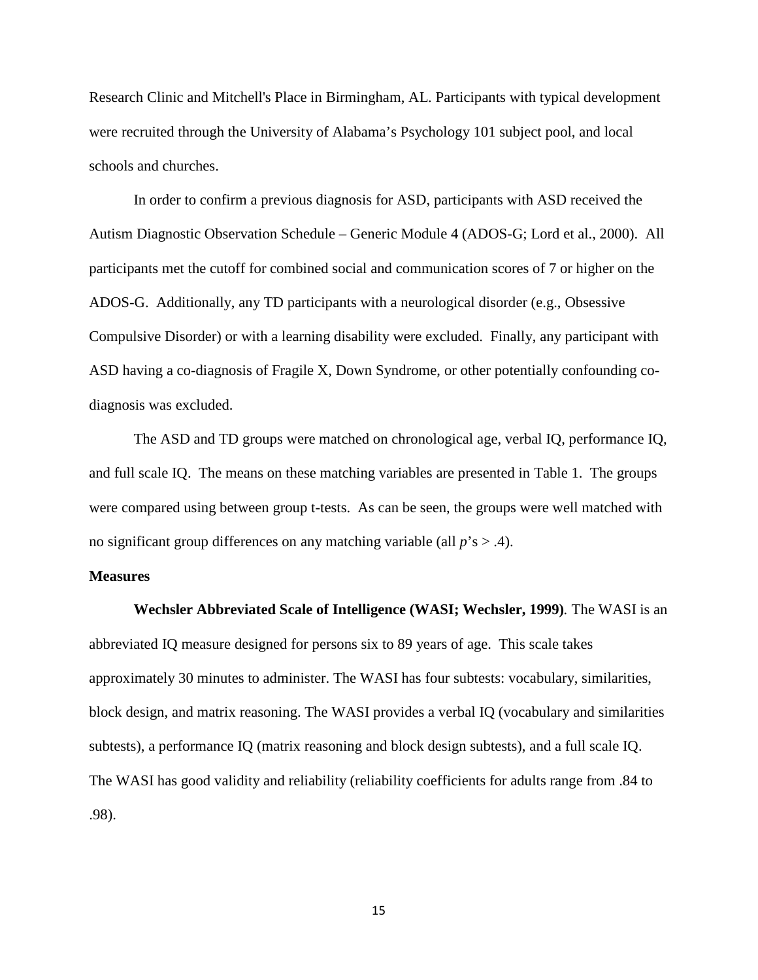Research Clinic and Mitchell's Place in Birmingham, AL. Participants with typical development were recruited through the University of Alabama's Psychology 101 subject pool, and local schools and churches.

In order to confirm a previous diagnosis for ASD, participants with ASD received the Autism Diagnostic Observation Schedule – Generic Module 4 (ADOS-G; Lord et al., 2000). All participants met the cutoff for combined social and communication scores of 7 or higher on the ADOS-G. Additionally, any TD participants with a neurological disorder (e.g., Obsessive Compulsive Disorder) or with a learning disability were excluded. Finally, any participant with ASD having a co-diagnosis of Fragile X, Down Syndrome, or other potentially confounding codiagnosis was excluded.

The ASD and TD groups were matched on chronological age, verbal IQ, performance IQ, and full scale IQ. The means on these matching variables are presented in Table 1. The groups were compared using between group t-tests. As can be seen, the groups were well matched with no significant group differences on any matching variable (all *p*'s > .4).

#### **Measures**

**Wechsler Abbreviated Scale of Intelligence (WASI; Wechsler, 1999)***.* The WASI is an abbreviated IQ measure designed for persons six to 89 years of age. This scale takes approximately 30 minutes to administer. The WASI has four subtests: vocabulary, similarities, block design, and matrix reasoning. The WASI provides a verbal IQ (vocabulary and similarities subtests), a performance IQ (matrix reasoning and block design subtests), and a full scale IQ. The WASI has good validity and reliability (reliability coefficients for adults range from .84 to .98).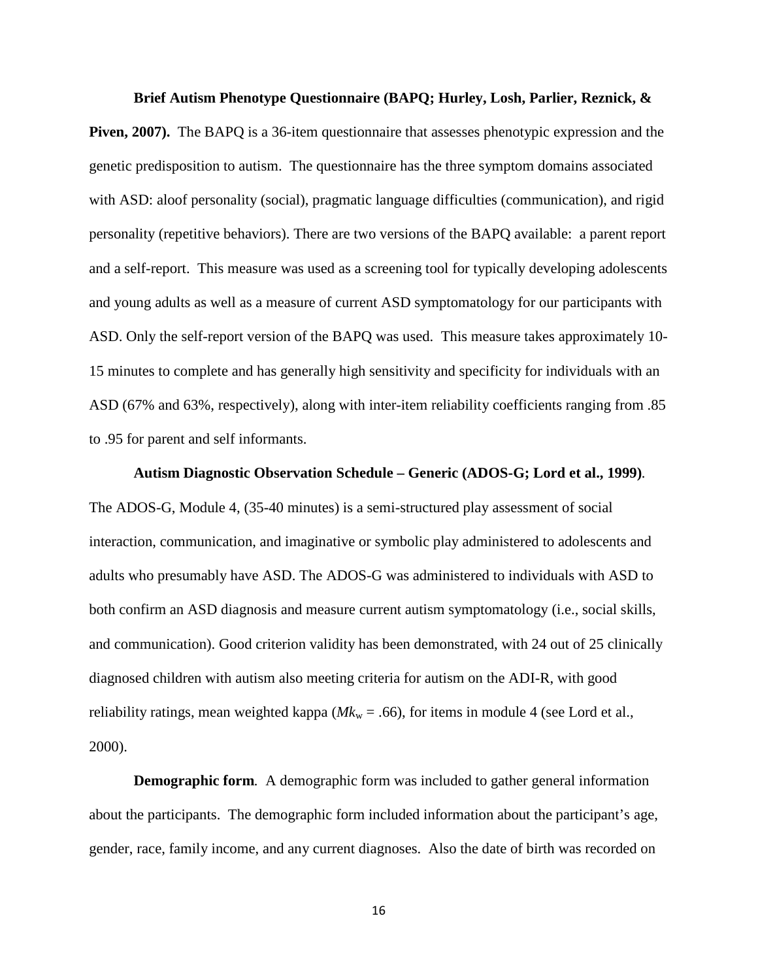#### **Brief Autism Phenotype Questionnaire (BAPQ; Hurley, Losh, Parlier, Reznick, &**

**Piven, 2007).** The BAPQ is a 36-item questionnaire that assesses phenotypic expression and the genetic predisposition to autism. The questionnaire has the three symptom domains associated with ASD: aloof personality (social), pragmatic language difficulties (communication), and rigid personality (repetitive behaviors). There are two versions of the BAPQ available: a parent report and a self-report. This measure was used as a screening tool for typically developing adolescents and young adults as well as a measure of current ASD symptomatology for our participants with ASD. Only the self-report version of the BAPQ was used. This measure takes approximately 10- 15 minutes to complete and has generally high sensitivity and specificity for individuals with an ASD (67% and 63%, respectively), along with inter-item reliability coefficients ranging from .85 to .95 for parent and self informants.

#### **Autism Diagnostic Observation Schedule – Generic (ADOS-G; Lord et al., 1999)***.*

The ADOS-G, Module 4, (35-40 minutes) is a semi-structured play assessment of social interaction, communication, and imaginative or symbolic play administered to adolescents and adults who presumably have ASD. The ADOS-G was administered to individuals with ASD to both confirm an ASD diagnosis and measure current autism symptomatology (i.e., social skills, and communication). Good criterion validity has been demonstrated, with 24 out of 25 clinically diagnosed children with autism also meeting criteria for autism on the ADI-R, with good reliability ratings, mean weighted kappa ( $Mk_w = .66$ ), for items in module 4 (see Lord et al., 2000).

**Demographic form***.* A demographic form was included to gather general information about the participants. The demographic form included information about the participant's age, gender, race, family income, and any current diagnoses. Also the date of birth was recorded on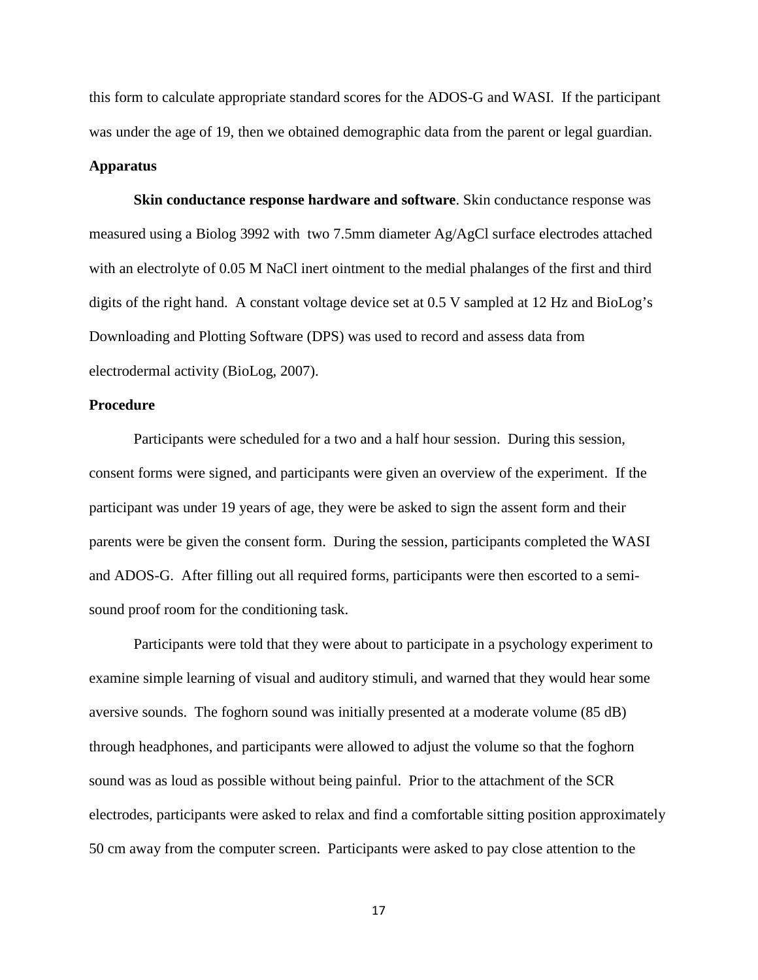this form to calculate appropriate standard scores for the ADOS-G and WASI. If the participant was under the age of 19, then we obtained demographic data from the parent or legal guardian.

#### **Apparatus**

**Skin conductance response hardware and software**. Skin conductance response was measured using a Biolog 3992 with two 7.5mm diameter Ag/AgCl surface electrodes attached with an electrolyte of 0.05 M NaCl inert ointment to the medial phalanges of the first and third digits of the right hand. A constant voltage device set at 0.5 V sampled at 12 Hz and BioLog's Downloading and Plotting Software (DPS) was used to record and assess data from electrodermal activity (BioLog, 2007).

#### **Procedure**

Participants were scheduled for a two and a half hour session. During this session, consent forms were signed, and participants were given an overview of the experiment. If the participant was under 19 years of age, they were be asked to sign the assent form and their parents were be given the consent form. During the session, participants completed the WASI and ADOS-G. After filling out all required forms, participants were then escorted to a semisound proof room for the conditioning task.

Participants were told that they were about to participate in a psychology experiment to examine simple learning of visual and auditory stimuli, and warned that they would hear some aversive sounds. The foghorn sound was initially presented at a moderate volume (85 dB) through headphones, and participants were allowed to adjust the volume so that the foghorn sound was as loud as possible without being painful. Prior to the attachment of the SCR electrodes, participants were asked to relax and find a comfortable sitting position approximately 50 cm away from the computer screen. Participants were asked to pay close attention to the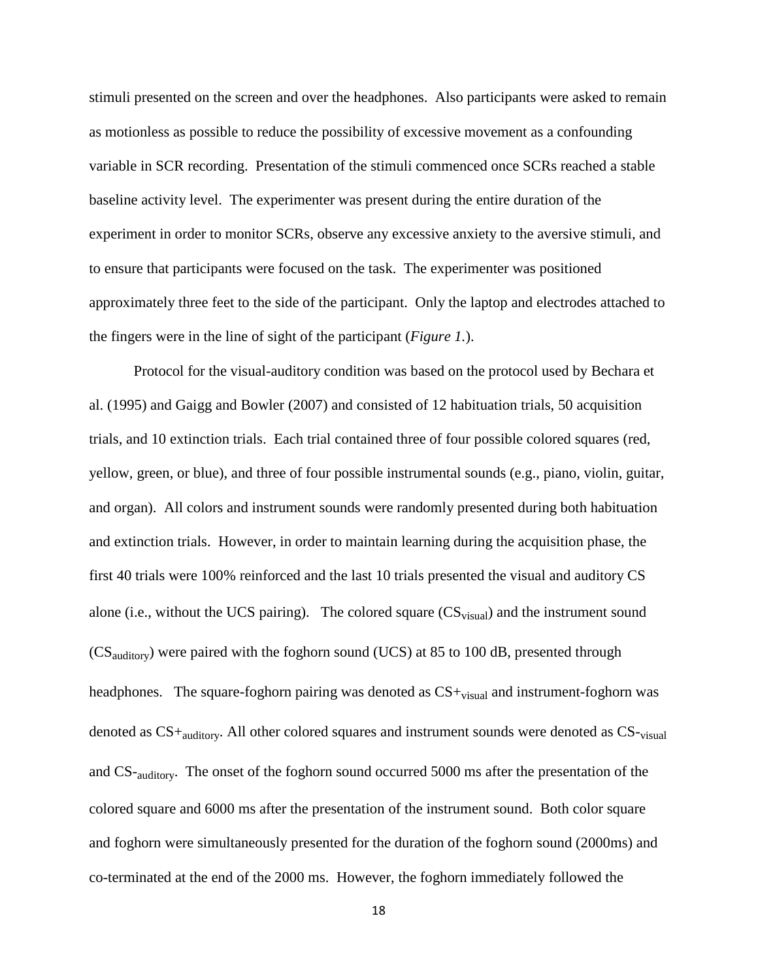stimuli presented on the screen and over the headphones. Also participants were asked to remain as motionless as possible to reduce the possibility of excessive movement as a confounding variable in SCR recording. Presentation of the stimuli commenced once SCRs reached a stable baseline activity level. The experimenter was present during the entire duration of the experiment in order to monitor SCRs, observe any excessive anxiety to the aversive stimuli, and to ensure that participants were focused on the task. The experimenter was positioned approximately three feet to the side of the participant. Only the laptop and electrodes attached to the fingers were in the line of sight of the participant (*Figure 1.*).

Protocol for the visual-auditory condition was based on the protocol used by Bechara et al. (1995) and Gaigg and Bowler (2007) and consisted of 12 habituation trials, 50 acquisition trials, and 10 extinction trials. Each trial contained three of four possible colored squares (red, yellow, green, or blue), and three of four possible instrumental sounds (e.g., piano, violin, guitar, and organ). All colors and instrument sounds were randomly presented during both habituation and extinction trials. However, in order to maintain learning during the acquisition phase, the first 40 trials were 100% reinforced and the last 10 trials presented the visual and auditory CS alone (i.e., without the UCS pairing). The colored square  $(CS_{visual})$  and the instrument sound (CSauditory) were paired with the foghorn sound (UCS) at 85 to 100 dB, presented through headphones. The square-foghorn pairing was denoted as  $CS +_{visual}$  and instrument-foghorn was denoted as CS+auditory. All other colored squares and instrument sounds were denoted as CS-visual and CS-auditory. The onset of the foghorn sound occurred 5000 ms after the presentation of the colored square and 6000 ms after the presentation of the instrument sound. Both color square and foghorn were simultaneously presented for the duration of the foghorn sound (2000ms) and co-terminated at the end of the 2000 ms. However, the foghorn immediately followed the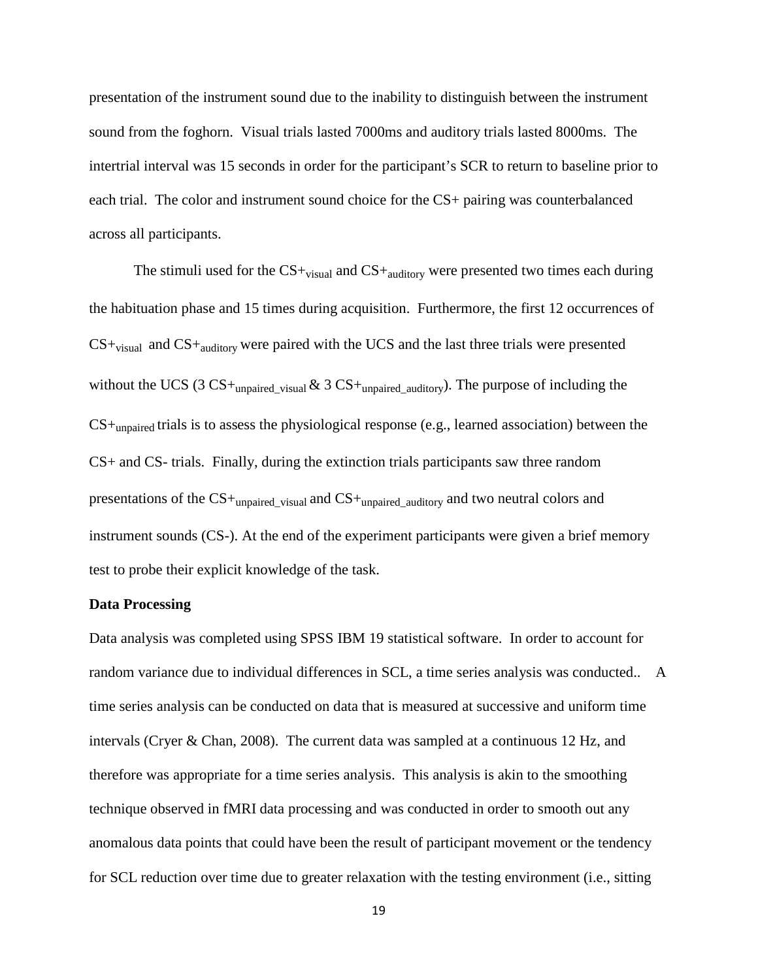presentation of the instrument sound due to the inability to distinguish between the instrument sound from the foghorn. Visual trials lasted 7000ms and auditory trials lasted 8000ms. The intertrial interval was 15 seconds in order for the participant's SCR to return to baseline prior to each trial. The color and instrument sound choice for the CS+ pairing was counterbalanced across all participants.

The stimuli used for the  $CS +_{visual}$  and  $CS +_{auditory}$  were presented two times each during the habituation phase and 15 times during acquisition. Furthermore, the first 12 occurrences of  $CS +_{visual}$  and  $CS +_{auditory}$  were paired with the UCS and the last three trials were presented without the UCS (3 CS+<sub>unpaired visual  $\&$  3 CS+<sub>unpaired auditory</sub>). The purpose of including the</sub> CS+unpaired trials is to assess the physiological response (e.g., learned association) between the CS+ and CS- trials. Finally, during the extinction trials participants saw three random presentations of the CS+<sub>unpaired\_visual</sub> and CS+<sub>unpaired\_auditory</sub> and two neutral colors and instrument sounds (CS-). At the end of the experiment participants were given a brief memory test to probe their explicit knowledge of the task.

#### **Data Processing**

Data analysis was completed using SPSS IBM 19 statistical software. In order to account for random variance due to individual differences in SCL, a time series analysis was conducted.. A time series analysis can be conducted on data that is measured at successive and uniform time intervals (Cryer & Chan, 2008). The current data was sampled at a continuous 12 Hz, and therefore was appropriate for a time series analysis. This analysis is akin to the smoothing technique observed in fMRI data processing and was conducted in order to smooth out any anomalous data points that could have been the result of participant movement or the tendency for SCL reduction over time due to greater relaxation with the testing environment (i.e., sitting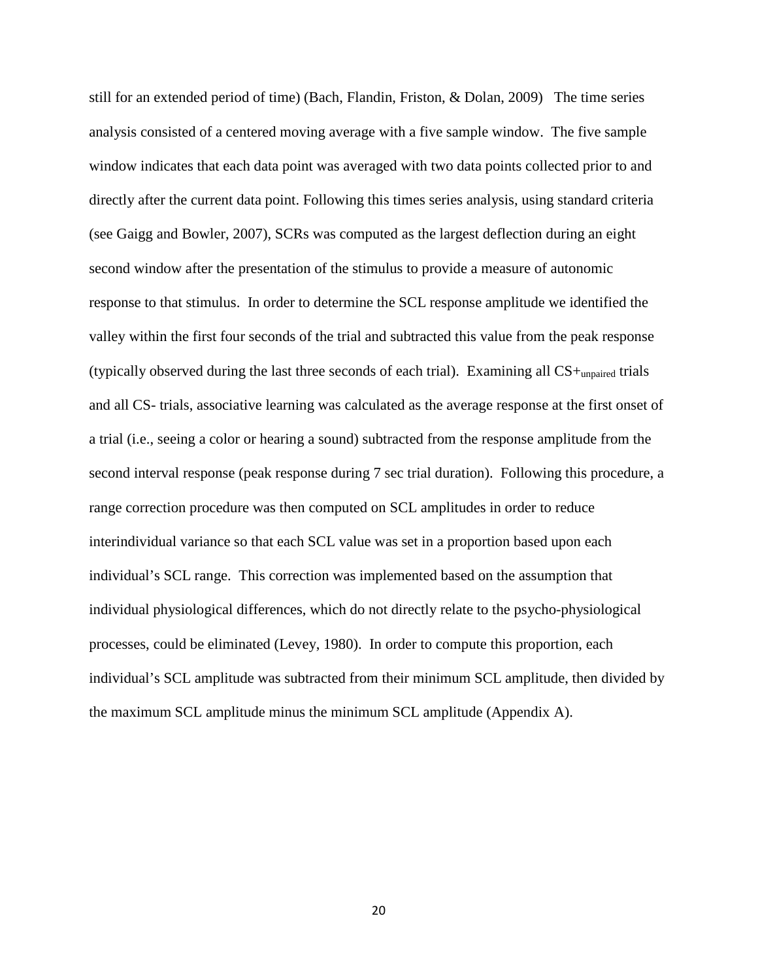still for an extended period of time) (Bach, Flandin, Friston, & Dolan, 2009) The time series analysis consisted of a centered moving average with a five sample window. The five sample window indicates that each data point was averaged with two data points collected prior to and directly after the current data point. Following this times series analysis, using standard criteria (see Gaigg and Bowler, 2007), SCRs was computed as the largest deflection during an eight second window after the presentation of the stimulus to provide a measure of autonomic response to that stimulus. In order to determine the SCL response amplitude we identified the valley within the first four seconds of the trial and subtracted this value from the peak response (typically observed during the last three seconds of each trial). Examining all  $CS+$ <sub>unpaired</sub> trials and all CS- trials, associative learning was calculated as the average response at the first onset of a trial (i.e., seeing a color or hearing a sound) subtracted from the response amplitude from the second interval response (peak response during 7 sec trial duration). Following this procedure, a range correction procedure was then computed on SCL amplitudes in order to reduce interindividual variance so that each SCL value was set in a proportion based upon each individual's SCL range. This correction was implemented based on the assumption that individual physiological differences, which do not directly relate to the psycho-physiological processes, could be eliminated (Levey, 1980). In order to compute this proportion, each individual's SCL amplitude was subtracted from their minimum SCL amplitude, then divided by the maximum SCL amplitude minus the minimum SCL amplitude (Appendix A).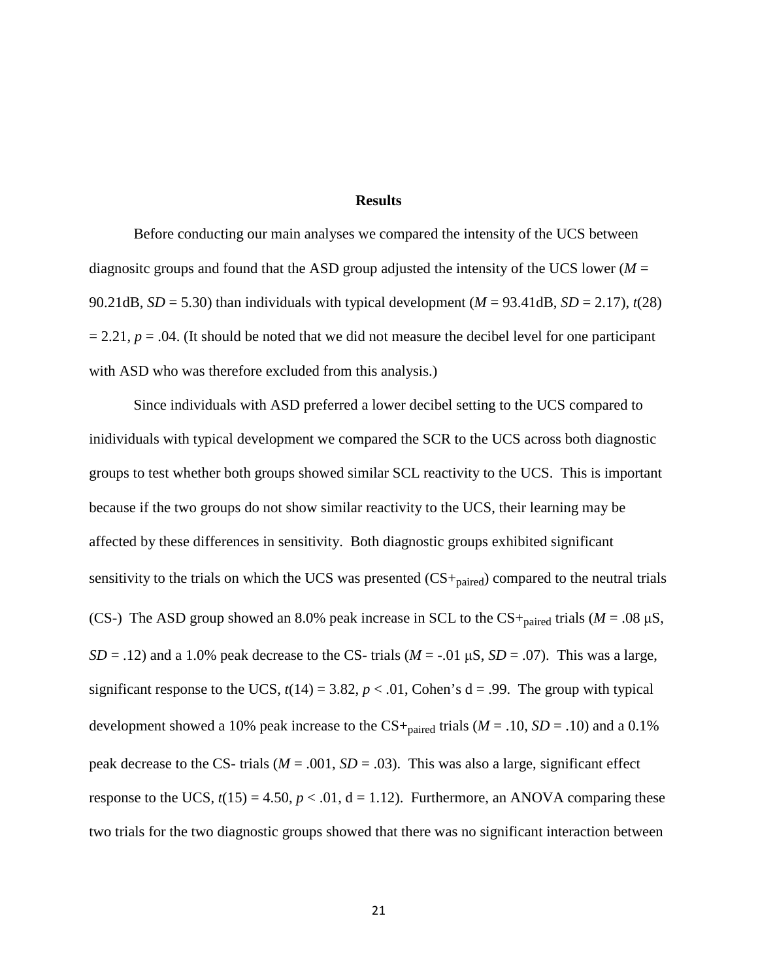#### **Results**

Before conducting our main analyses we compared the intensity of the UCS between diagnosite groups and found that the ASD group adjusted the intensity of the UCS lower ( $M =$ 90.21dB,  $SD = 5.30$ ) than individuals with typical development ( $M = 93.41$ dB,  $SD = 2.17$ ),  $t(28)$  $= 2.21, p = .04$ . (It should be noted that we did not measure the decibel level for one participant with ASD who was therefore excluded from this analysis.)

Since individuals with ASD preferred a lower decibel setting to the UCS compared to inidividuals with typical development we compared the SCR to the UCS across both diagnostic groups to test whether both groups showed similar SCL reactivity to the UCS. This is important because if the two groups do not show similar reactivity to the UCS, their learning may be affected by these differences in sensitivity. Both diagnostic groups exhibited significant sensitivity to the trials on which the UCS was presented  $\text{(CS+}_{\text{paired}})$  compared to the neutral trials (CS-) The ASD group showed an 8.0% peak increase in SCL to the  $CS +_{\text{paired}}$  trials ( $M = .08 \mu S$ ,  $SD = .12$ ) and a 1.0% peak decrease to the CS- trials ( $M = -.01 \mu S$ ,  $SD = .07$ ). This was a large, significant response to the UCS,  $t(14) = 3.82$ ,  $p < .01$ , Cohen's  $d = .99$ . The group with typical development showed a 10% peak increase to the  $CS+_{\text{paired}}$  trials ( $M = .10$ ,  $SD = .10$ ) and a 0.1% peak decrease to the CS- trials ( $M = .001$ ,  $SD = .03$ ). This was also a large, significant effect response to the UCS,  $t(15) = 4.50$ ,  $p < .01$ ,  $d = 1.12$ ). Furthermore, an ANOVA comparing these two trials for the two diagnostic groups showed that there was no significant interaction between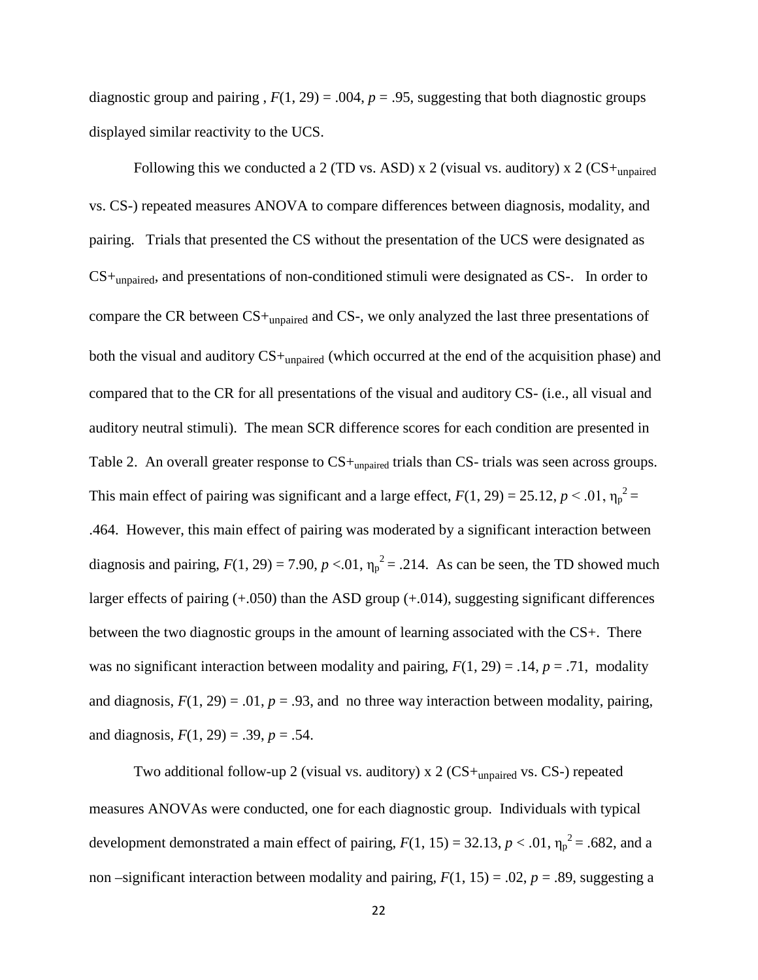diagnostic group and pairing  $F(1, 29) = .004$ ,  $p = .95$ , suggesting that both diagnostic groups displayed similar reactivity to the UCS.

Following this we conducted a 2 (TD vs. ASD) x 2 (visual vs. auditory) x 2 (CS+<sub>unpaired</sub> vs. CS-) repeated measures ANOVA to compare differences between diagnosis, modality, and pairing. Trials that presented the CS without the presentation of the UCS were designated as CS+unpaired, and presentations of non-conditioned stimuli were designated as CS-. In order to compare the CR between CS+unpaired and CS-, we only analyzed the last three presentations of both the visual and auditory CS+unpaired (which occurred at the end of the acquisition phase) and compared that to the CR for all presentations of the visual and auditory CS- (i.e., all visual and auditory neutral stimuli). The mean SCR difference scores for each condition are presented in Table 2. An overall greater response to  $CS+_{\text{unpaired}}$  trials than CS- trials was seen across groups. This main effect of pairing was significant and a large effect,  $F(1, 29) = 25.12$ ,  $p < .01$ ,  $\eta_p^2 =$ .464. However, this main effect of pairing was moderated by a significant interaction between diagnosis and pairing,  $F(1, 29) = 7.90$ ,  $p < 0.01$ ,  $\eta_p^2 = 0.214$ . As can be seen, the TD showed much larger effects of pairing (+.050) than the ASD group (+.014), suggesting significant differences between the two diagnostic groups in the amount of learning associated with the CS+. There was no significant interaction between modality and pairing,  $F(1, 29) = .14$ ,  $p = .71$ , modality and diagnosis,  $F(1, 29) = .01$ ,  $p = .93$ , and no three way interaction between modality, pairing, and diagnosis,  $F(1, 29) = .39$ ,  $p = .54$ .

Two additional follow-up 2 (visual vs. auditory) x 2 ( $CS$ +<sub>unpaired</sub> vs. CS-) repeated measures ANOVAs were conducted, one for each diagnostic group. Individuals with typical development demonstrated a main effect of pairing,  $F(1, 15) = 32.13$ ,  $p < .01$ ,  $\eta_p^2 = .682$ , and a non –significant interaction between modality and pairing,  $F(1, 15) = .02$ ,  $p = .89$ , suggesting a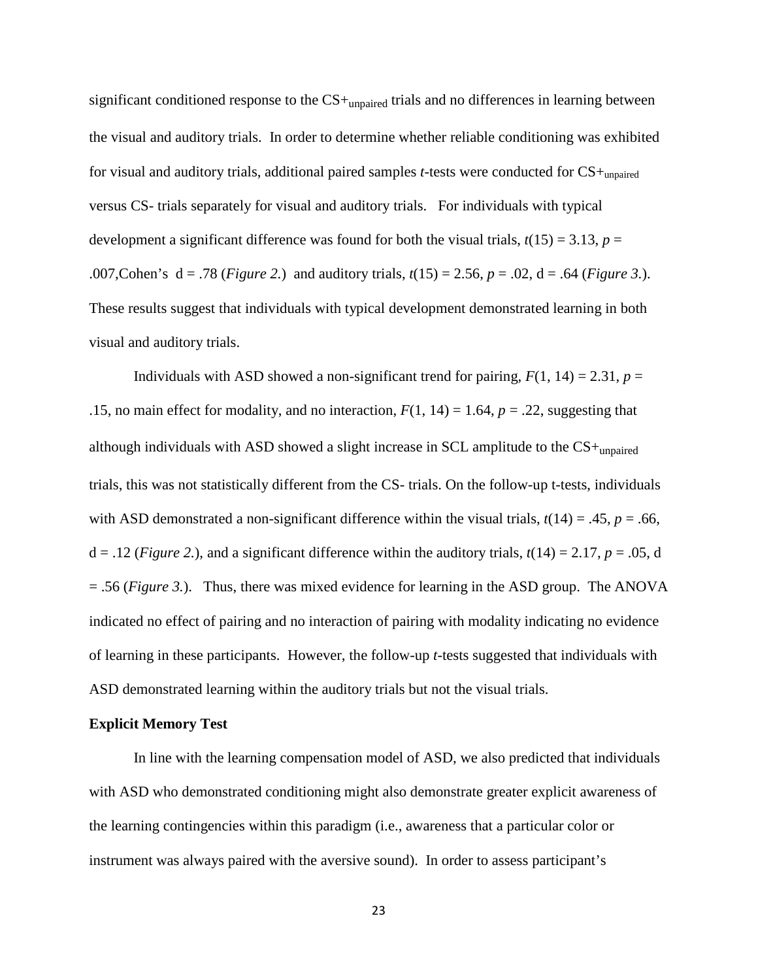significant conditioned response to the  $CS+_{\text{unpaired}}$  trials and no differences in learning between the visual and auditory trials. In order to determine whether reliable conditioning was exhibited for visual and auditory trials, additional paired samples *t*-tests were conducted for CS+unpaired versus CS- trials separately for visual and auditory trials. For individuals with typical development a significant difference was found for both the visual trials,  $t(15) = 3.13$ ,  $p =$ .007,Cohen's d = .78 (*Figure 2.*) and auditory trials, *t*(15) = 2.56, *p* = .02, d = .64 (*Figure 3.*). These results suggest that individuals with typical development demonstrated learning in both visual and auditory trials.

Individuals with ASD showed a non-significant trend for pairing,  $F(1, 14) = 2.31$ ,  $p =$ .15, no main effect for modality, and no interaction,  $F(1, 14) = 1.64$ ,  $p = .22$ , suggesting that although individuals with ASD showed a slight increase in SCL amplitude to the CS+unpaired trials, this was not statistically different from the CS- trials. On the follow-up t-tests, individuals with ASD demonstrated a non-significant difference within the visual trials,  $t(14) = .45$ ,  $p = .66$ ,  $d = 0.12$  (*Figure 2.*), and a significant difference within the auditory trials,  $t(14) = 2.17$ ,  $p = 0.05$ , d = .56 (*Figure 3.*). Thus, there was mixed evidence for learning in the ASD group. The ANOVA indicated no effect of pairing and no interaction of pairing with modality indicating no evidence of learning in these participants. However, the follow-up *t*-tests suggested that individuals with ASD demonstrated learning within the auditory trials but not the visual trials.

#### **Explicit Memory Test**

In line with the learning compensation model of ASD, we also predicted that individuals with ASD who demonstrated conditioning might also demonstrate greater explicit awareness of the learning contingencies within this paradigm (i.e., awareness that a particular color or instrument was always paired with the aversive sound). In order to assess participant's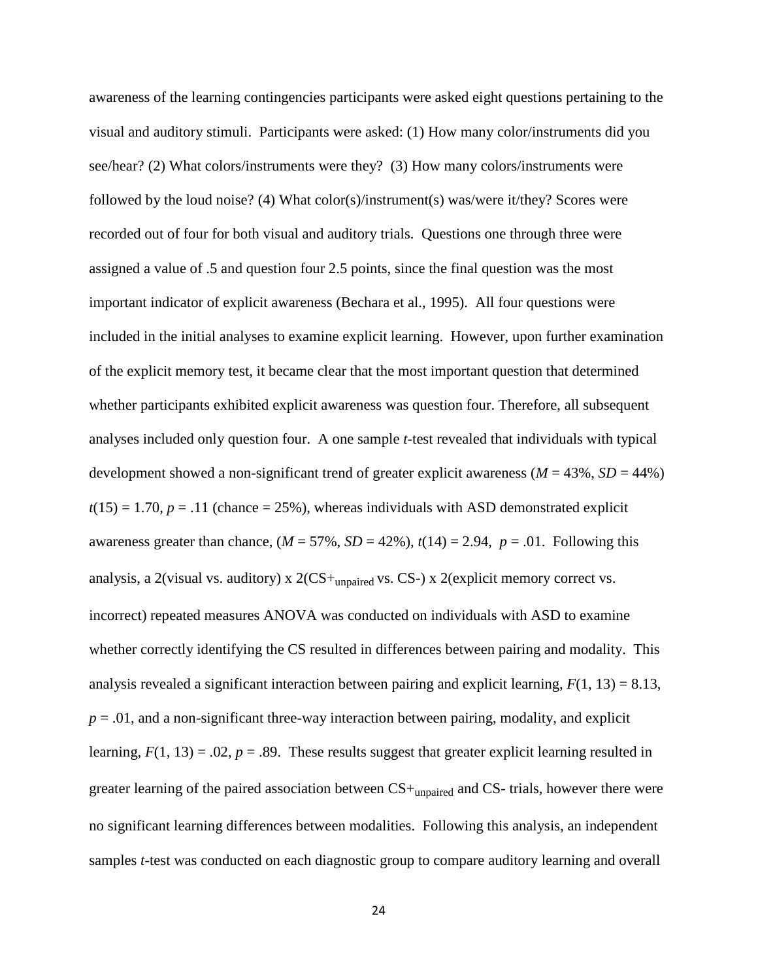awareness of the learning contingencies participants were asked eight questions pertaining to the visual and auditory stimuli. Participants were asked: (1) How many color/instruments did you see/hear? (2) What colors/instruments were they? (3) How many colors/instruments were followed by the loud noise? (4) What color(s)/instrument(s) was/were it/they? Scores were recorded out of four for both visual and auditory trials. Questions one through three were assigned a value of .5 and question four 2.5 points, since the final question was the most important indicator of explicit awareness (Bechara et al., 1995). All four questions were included in the initial analyses to examine explicit learning. However, upon further examination of the explicit memory test, it became clear that the most important question that determined whether participants exhibited explicit awareness was question four. Therefore, all subsequent analyses included only question four. A one sample *t*-test revealed that individuals with typical development showed a non-significant trend of greater explicit awareness ( $M = 43\%$ ,  $SD = 44\%$ )  $t(15) = 1.70$ ,  $p = .11$  (chance = 25%), whereas individuals with ASD demonstrated explicit awareness greater than chance,  $(M = 57\%, SD = 42\%), t(14) = 2.94, p = .01$ . Following this analysis, a 2(visual vs. auditory) x  $2(CS+$ <sub>unpaired</sub> vs. CS-) x 2(explicit memory correct vs. incorrect) repeated measures ANOVA was conducted on individuals with ASD to examine whether correctly identifying the CS resulted in differences between pairing and modality. This analysis revealed a significant interaction between pairing and explicit learning,  $F(1, 13) = 8.13$ ,  $p = 0.01$ , and a non-significant three-way interaction between pairing, modality, and explicit learning,  $F(1, 13) = .02$ ,  $p = .89$ . These results suggest that greater explicit learning resulted in greater learning of the paired association between CS+unpaired and CS- trials, however there were no significant learning differences between modalities. Following this analysis, an independent samples *t*-test was conducted on each diagnostic group to compare auditory learning and overall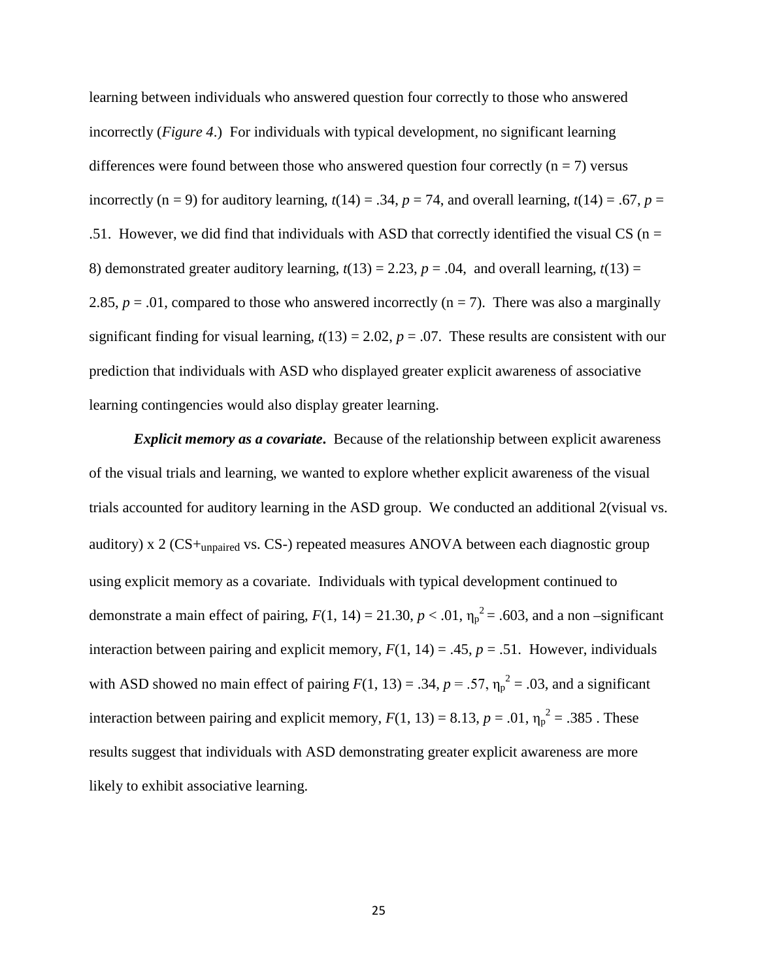learning between individuals who answered question four correctly to those who answered incorrectly (*Figure 4*.) For individuals with typical development, no significant learning differences were found between those who answered question four correctly  $(n = 7)$  versus incorrectly (n = 9) for auditory learning,  $t(14) = .34$ ,  $p = 74$ , and overall learning,  $t(14) = .67$ ,  $p =$ .51. However, we did find that individuals with ASD that correctly identified the visual CS ( $n =$ 8) demonstrated greater auditory learning,  $t(13) = 2.23$ ,  $p = .04$ , and overall learning,  $t(13) =$ 2.85,  $p = .01$ , compared to those who answered incorrectly ( $n = 7$ ). There was also a marginally significant finding for visual learning,  $t(13) = 2.02$ ,  $p = .07$ . These results are consistent with our prediction that individuals with ASD who displayed greater explicit awareness of associative learning contingencies would also display greater learning.

*Explicit memory as a covariate***.** Because of the relationship between explicit awareness of the visual trials and learning, we wanted to explore whether explicit awareness of the visual trials accounted for auditory learning in the ASD group. We conducted an additional 2(visual vs. auditory) x 2 (CS+unpaired vs. CS-) repeated measures ANOVA between each diagnostic group using explicit memory as a covariate. Individuals with typical development continued to demonstrate a main effect of pairing,  $F(1, 14) = 21.30, p < .01, \eta_p^2 = .603$ , and a non-significant interaction between pairing and explicit memory,  $F(1, 14) = .45$ ,  $p = .51$ . However, individuals with ASD showed no main effect of pairing  $F(1, 13) = .34$ ,  $p = .57$ ,  $\eta_p^2 = .03$ , and a significant interaction between pairing and explicit memory,  $F(1, 13) = 8.13$ ,  $p = .01$ ,  $\eta_p^2 = .385$ . These results suggest that individuals with ASD demonstrating greater explicit awareness are more likely to exhibit associative learning.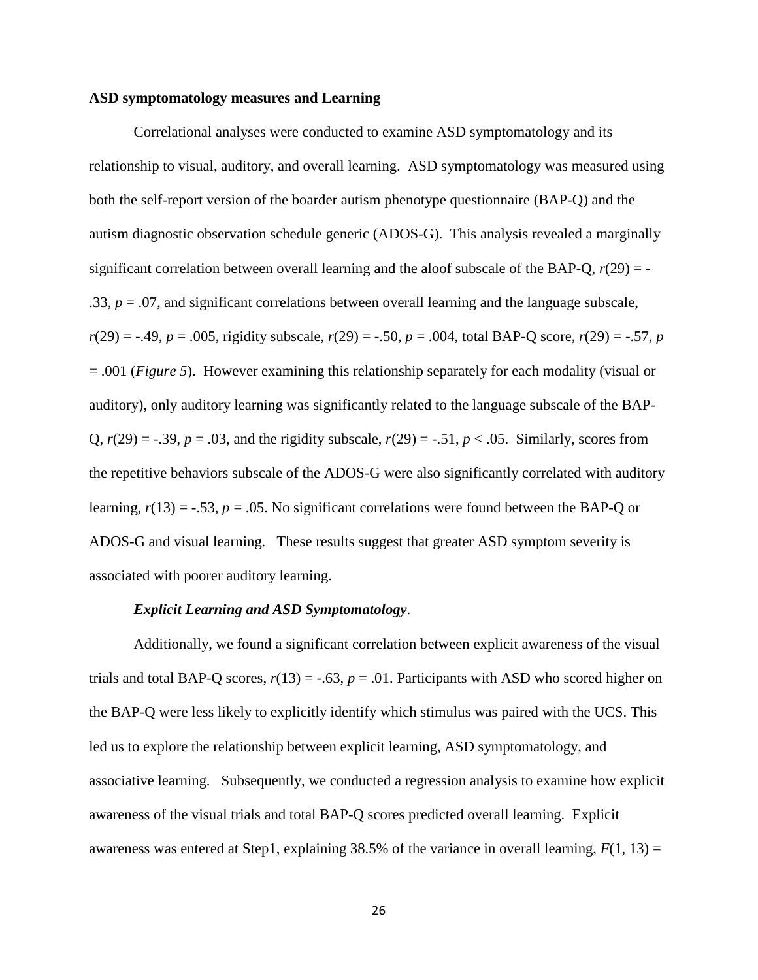#### **ASD symptomatology measures and Learning**

Correlational analyses were conducted to examine ASD symptomatology and its relationship to visual, auditory, and overall learning. ASD symptomatology was measured using both the self-report version of the boarder autism phenotype questionnaire (BAP-Q) and the autism diagnostic observation schedule generic (ADOS-G). This analysis revealed a marginally significant correlation between overall learning and the aloof subscale of the BAP-Q,  $r(29) = -$ .33,  $p = 0.07$ , and significant correlations between overall learning and the language subscale,  $r(29) = -.49, p = .005$ , rigidity subscale,  $r(29) = -.50, p = .004$ , total BAP-Q score,  $r(29) = -.57, p$ = .001 (*Figure 5*). However examining this relationship separately for each modality (visual or auditory), only auditory learning was significantly related to the language subscale of the BAP-Q,  $r(29) = -.39$ ,  $p = .03$ , and the rigidity subscale,  $r(29) = -.51$ ,  $p < .05$ . Similarly, scores from the repetitive behaviors subscale of the ADOS-G were also significantly correlated with auditory learning,  $r(13) = -.53$ ,  $p = .05$ . No significant correlations were found between the BAP-Q or ADOS-G and visual learning. These results suggest that greater ASD symptom severity is associated with poorer auditory learning.

#### *Explicit Learning and ASD Symptomatology*.

Additionally, we found a significant correlation between explicit awareness of the visual trials and total BAP-Q scores,  $r(13) = -.63$ ,  $p = .01$ . Participants with ASD who scored higher on the BAP-Q were less likely to explicitly identify which stimulus was paired with the UCS. This led us to explore the relationship between explicit learning, ASD symptomatology, and associative learning. Subsequently, we conducted a regression analysis to examine how explicit awareness of the visual trials and total BAP-Q scores predicted overall learning. Explicit awareness was entered at Step1, explaining 38.5% of the variance in overall learning,  $F(1, 13) =$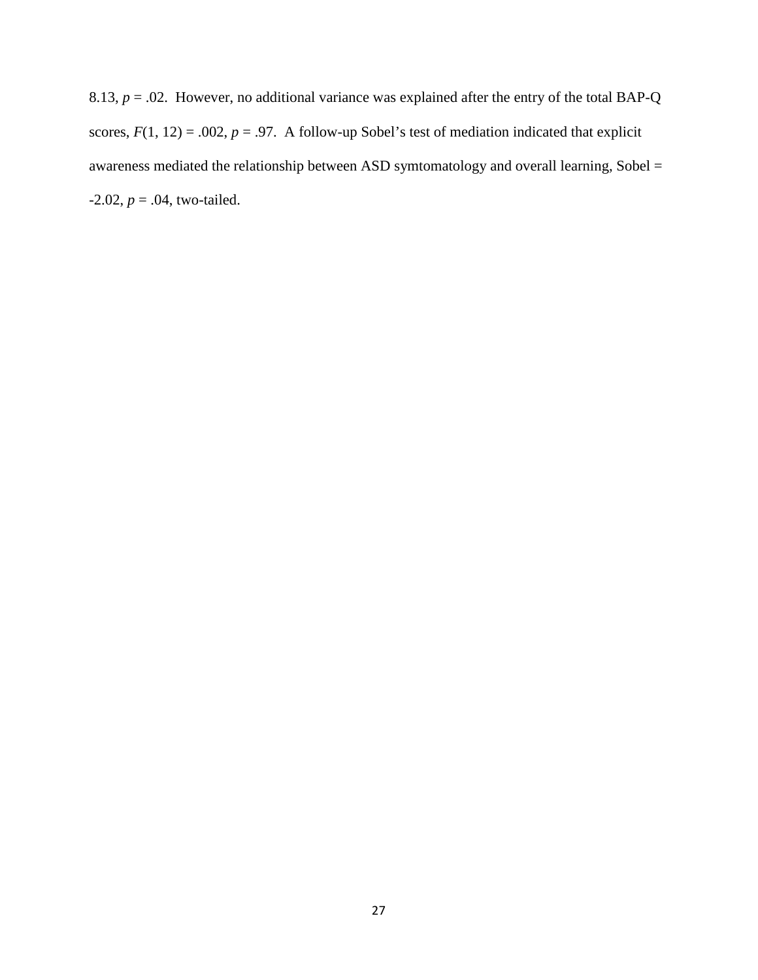8.13,  $p = 0.02$ . However, no additional variance was explained after the entry of the total BAP-Q scores,  $F(1, 12) = .002$ ,  $p = .97$ . A follow-up Sobel's test of mediation indicated that explicit awareness mediated the relationship between ASD symtomatology and overall learning, Sobel =  $-2.02, p = .04$ , two-tailed.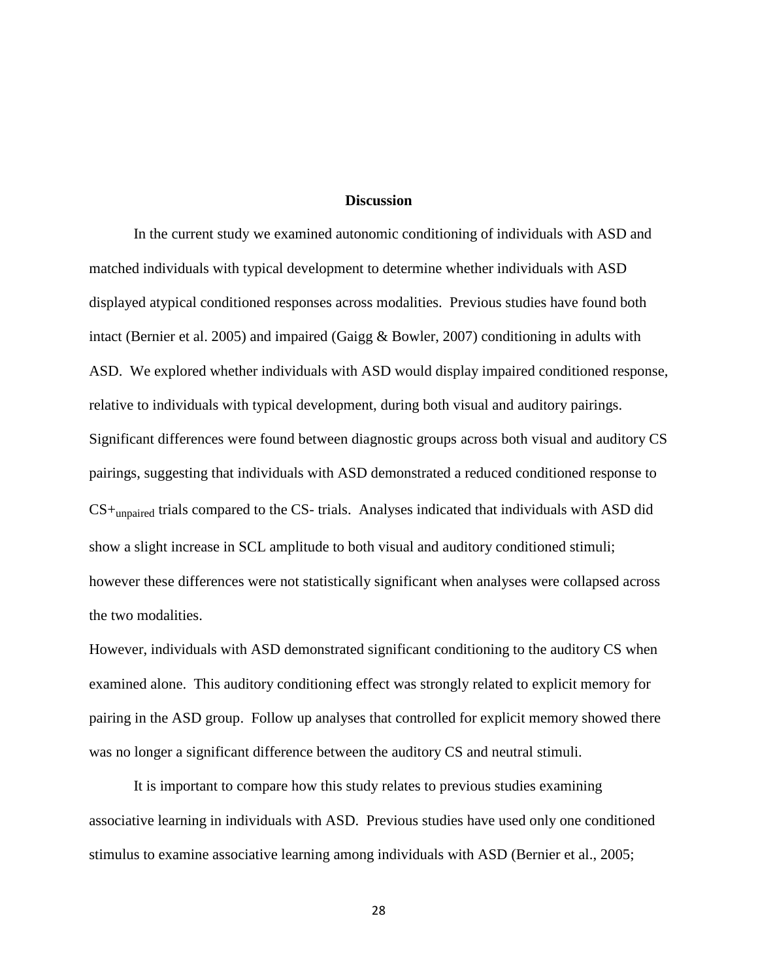#### **Discussion**

In the current study we examined autonomic conditioning of individuals with ASD and matched individuals with typical development to determine whether individuals with ASD displayed atypical conditioned responses across modalities. Previous studies have found both intact (Bernier et al. 2005) and impaired (Gaigg & Bowler, 2007) conditioning in adults with ASD. We explored whether individuals with ASD would display impaired conditioned response, relative to individuals with typical development, during both visual and auditory pairings. Significant differences were found between diagnostic groups across both visual and auditory CS pairings, suggesting that individuals with ASD demonstrated a reduced conditioned response to  $CS+$ <sub>unpaired</sub> trials compared to the CS- trials. Analyses indicated that individuals with ASD did show a slight increase in SCL amplitude to both visual and auditory conditioned stimuli; however these differences were not statistically significant when analyses were collapsed across the two modalities.

However, individuals with ASD demonstrated significant conditioning to the auditory CS when examined alone. This auditory conditioning effect was strongly related to explicit memory for pairing in the ASD group. Follow up analyses that controlled for explicit memory showed there was no longer a significant difference between the auditory CS and neutral stimuli.

It is important to compare how this study relates to previous studies examining associative learning in individuals with ASD. Previous studies have used only one conditioned stimulus to examine associative learning among individuals with ASD (Bernier et al., 2005;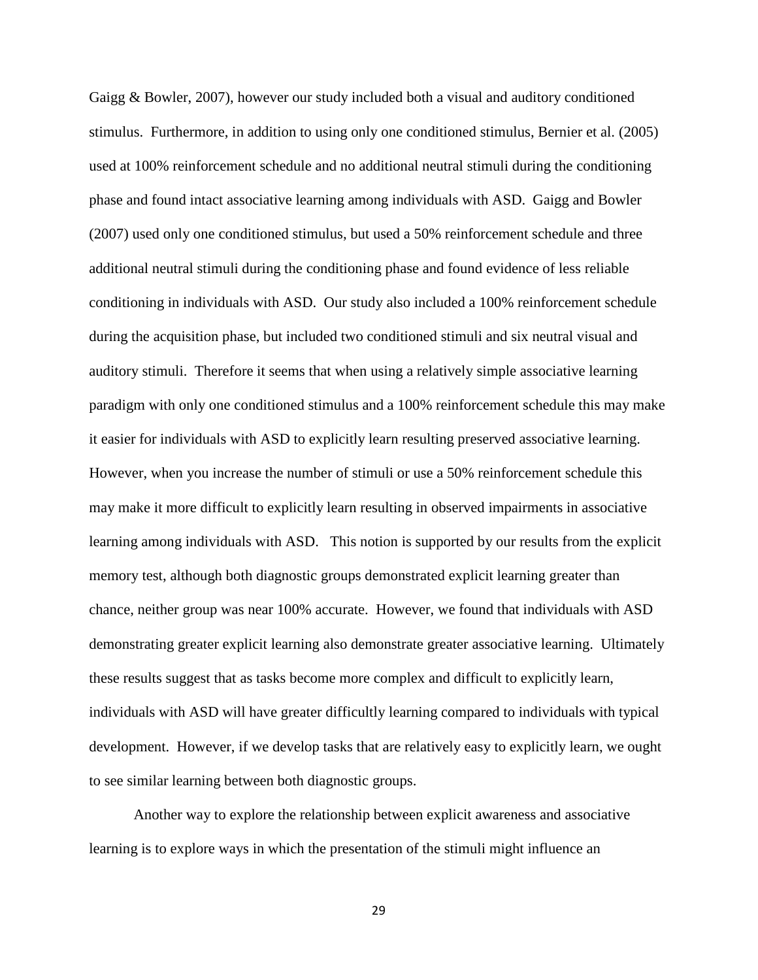Gaigg & Bowler, 2007), however our study included both a visual and auditory conditioned stimulus. Furthermore, in addition to using only one conditioned stimulus, Bernier et al. (2005) used at 100% reinforcement schedule and no additional neutral stimuli during the conditioning phase and found intact associative learning among individuals with ASD. Gaigg and Bowler (2007) used only one conditioned stimulus, but used a 50% reinforcement schedule and three additional neutral stimuli during the conditioning phase and found evidence of less reliable conditioning in individuals with ASD. Our study also included a 100% reinforcement schedule during the acquisition phase, but included two conditioned stimuli and six neutral visual and auditory stimuli. Therefore it seems that when using a relatively simple associative learning paradigm with only one conditioned stimulus and a 100% reinforcement schedule this may make it easier for individuals with ASD to explicitly learn resulting preserved associative learning. However, when you increase the number of stimuli or use a 50% reinforcement schedule this may make it more difficult to explicitly learn resulting in observed impairments in associative learning among individuals with ASD. This notion is supported by our results from the explicit memory test, although both diagnostic groups demonstrated explicit learning greater than chance, neither group was near 100% accurate. However, we found that individuals with ASD demonstrating greater explicit learning also demonstrate greater associative learning. Ultimately these results suggest that as tasks become more complex and difficult to explicitly learn, individuals with ASD will have greater difficultly learning compared to individuals with typical development. However, if we develop tasks that are relatively easy to explicitly learn, we ought to see similar learning between both diagnostic groups.

Another way to explore the relationship between explicit awareness and associative learning is to explore ways in which the presentation of the stimuli might influence an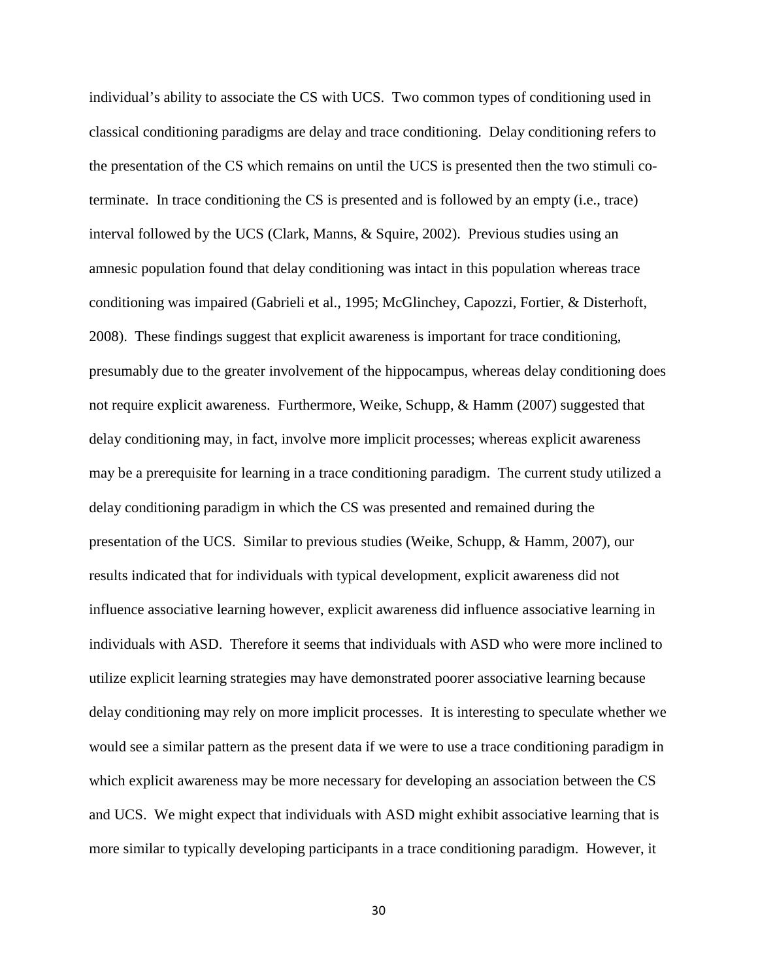individual's ability to associate the CS with UCS. Two common types of conditioning used in classical conditioning paradigms are delay and trace conditioning. Delay conditioning refers to the presentation of the CS which remains on until the UCS is presented then the two stimuli coterminate. In trace conditioning the CS is presented and is followed by an empty (i.e., trace) interval followed by the UCS (Clark, Manns, & Squire, 2002). Previous studies using an amnesic population found that delay conditioning was intact in this population whereas trace conditioning was impaired (Gabrieli et al., 1995; McGlinchey, Capozzi, Fortier, & Disterhoft, 2008). These findings suggest that explicit awareness is important for trace conditioning, presumably due to the greater involvement of the hippocampus, whereas delay conditioning does not require explicit awareness. Furthermore, Weike, Schupp, & Hamm (2007) suggested that delay conditioning may, in fact, involve more implicit processes; whereas explicit awareness may be a prerequisite for learning in a trace conditioning paradigm. The current study utilized a delay conditioning paradigm in which the CS was presented and remained during the presentation of the UCS. Similar to previous studies (Weike, Schupp, & Hamm, 2007), our results indicated that for individuals with typical development, explicit awareness did not influence associative learning however, explicit awareness did influence associative learning in individuals with ASD. Therefore it seems that individuals with ASD who were more inclined to utilize explicit learning strategies may have demonstrated poorer associative learning because delay conditioning may rely on more implicit processes. It is interesting to speculate whether we would see a similar pattern as the present data if we were to use a trace conditioning paradigm in which explicit awareness may be more necessary for developing an association between the CS and UCS. We might expect that individuals with ASD might exhibit associative learning that is more similar to typically developing participants in a trace conditioning paradigm. However, it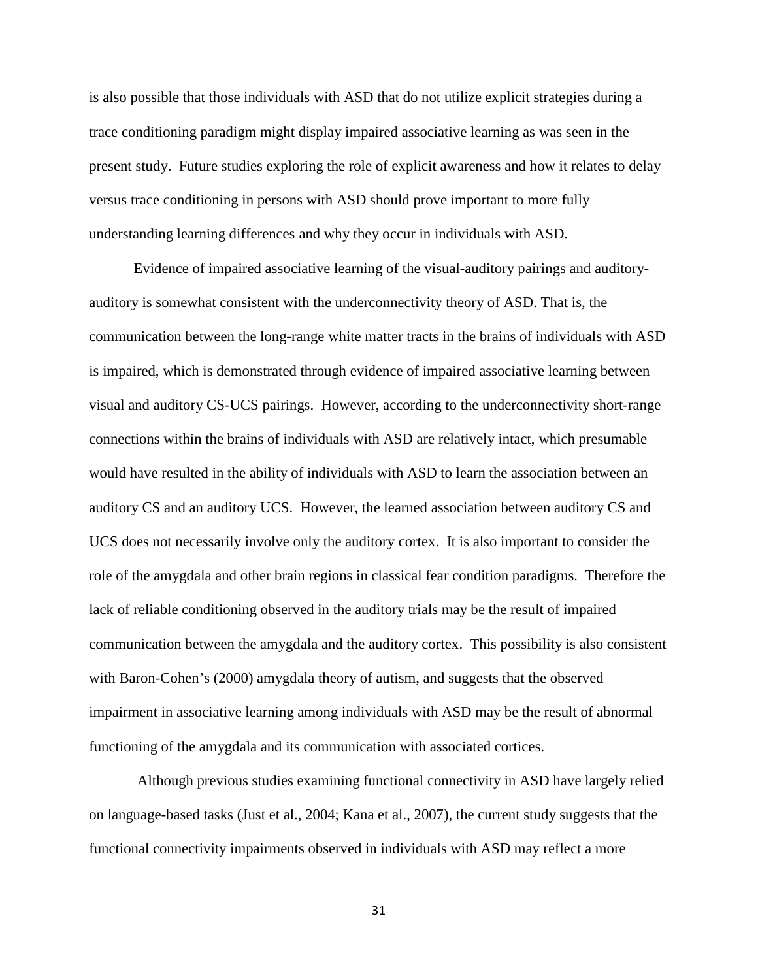is also possible that those individuals with ASD that do not utilize explicit strategies during a trace conditioning paradigm might display impaired associative learning as was seen in the present study. Future studies exploring the role of explicit awareness and how it relates to delay versus trace conditioning in persons with ASD should prove important to more fully understanding learning differences and why they occur in individuals with ASD.

Evidence of impaired associative learning of the visual-auditory pairings and auditoryauditory is somewhat consistent with the underconnectivity theory of ASD. That is, the communication between the long-range white matter tracts in the brains of individuals with ASD is impaired, which is demonstrated through evidence of impaired associative learning between visual and auditory CS-UCS pairings. However, according to the underconnectivity short-range connections within the brains of individuals with ASD are relatively intact, which presumable would have resulted in the ability of individuals with ASD to learn the association between an auditory CS and an auditory UCS. However, the learned association between auditory CS and UCS does not necessarily involve only the auditory cortex. It is also important to consider the role of the amygdala and other brain regions in classical fear condition paradigms. Therefore the lack of reliable conditioning observed in the auditory trials may be the result of impaired communication between the amygdala and the auditory cortex. This possibility is also consistent with Baron-Cohen's (2000) amygdala theory of autism, and suggests that the observed impairment in associative learning among individuals with ASD may be the result of abnormal functioning of the amygdala and its communication with associated cortices.

Although previous studies examining functional connectivity in ASD have largely relied on language-based tasks (Just et al., 2004; Kana et al., 2007), the current study suggests that the functional connectivity impairments observed in individuals with ASD may reflect a more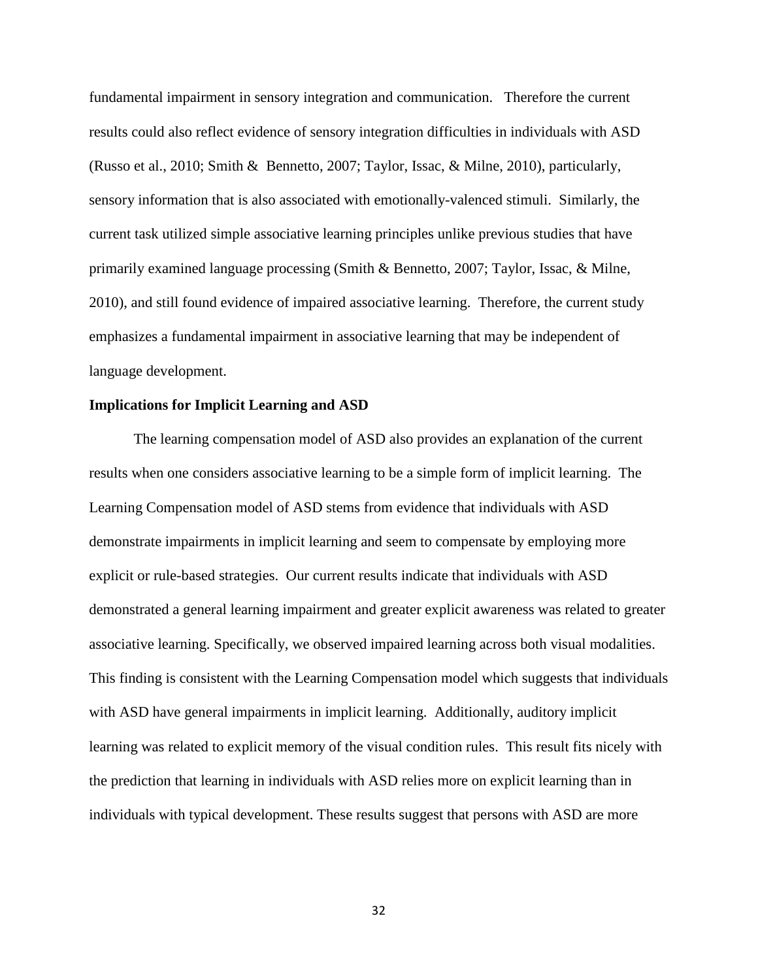fundamental impairment in sensory integration and communication. Therefore the current results could also reflect evidence of sensory integration difficulties in individuals with ASD (Russo et al., 2010; Smith & Bennetto, 2007; Taylor, Issac, & Milne, 2010), particularly, sensory information that is also associated with emotionally-valenced stimuli. Similarly, the current task utilized simple associative learning principles unlike previous studies that have primarily examined language processing (Smith & Bennetto, 2007; Taylor, Issac, & Milne, 2010), and still found evidence of impaired associative learning. Therefore, the current study emphasizes a fundamental impairment in associative learning that may be independent of language development.

#### **Implications for Implicit Learning and ASD**

The learning compensation model of ASD also provides an explanation of the current results when one considers associative learning to be a simple form of implicit learning. The Learning Compensation model of ASD stems from evidence that individuals with ASD demonstrate impairments in implicit learning and seem to compensate by employing more explicit or rule-based strategies. Our current results indicate that individuals with ASD demonstrated a general learning impairment and greater explicit awareness was related to greater associative learning. Specifically, we observed impaired learning across both visual modalities. This finding is consistent with the Learning Compensation model which suggests that individuals with ASD have general impairments in implicit learning. Additionally, auditory implicit learning was related to explicit memory of the visual condition rules. This result fits nicely with the prediction that learning in individuals with ASD relies more on explicit learning than in individuals with typical development. These results suggest that persons with ASD are more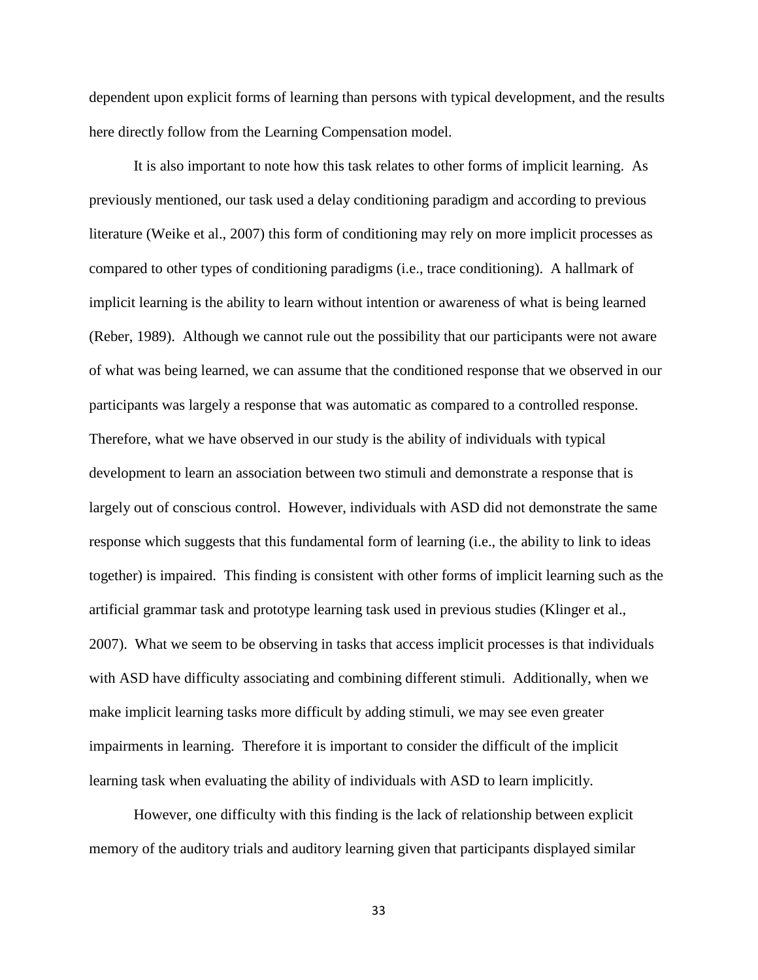dependent upon explicit forms of learning than persons with typical development, and the results here directly follow from the Learning Compensation model.

It is also important to note how this task relates to other forms of implicit learning. As previously mentioned, our task used a delay conditioning paradigm and according to previous literature (Weike et al., 2007) this form of conditioning may rely on more implicit processes as compared to other types of conditioning paradigms (i.e., trace conditioning). A hallmark of implicit learning is the ability to learn without intention or awareness of what is being learned (Reber, 1989). Although we cannot rule out the possibility that our participants were not aware of what was being learned, we can assume that the conditioned response that we observed in our participants was largely a response that was automatic as compared to a controlled response. Therefore, what we have observed in our study is the ability of individuals with typical development to learn an association between two stimuli and demonstrate a response that is largely out of conscious control. However, individuals with ASD did not demonstrate the same response which suggests that this fundamental form of learning (i.e., the ability to link to ideas together) is impaired. This finding is consistent with other forms of implicit learning such as the artificial grammar task and prototype learning task used in previous studies (Klinger et al., 2007). What we seem to be observing in tasks that access implicit processes is that individuals with ASD have difficulty associating and combining different stimuli. Additionally, when we make implicit learning tasks more difficult by adding stimuli, we may see even greater impairments in learning. Therefore it is important to consider the difficult of the implicit learning task when evaluating the ability of individuals with ASD to learn implicitly.

However, one difficulty with this finding is the lack of relationship between explicit memory of the auditory trials and auditory learning given that participants displayed similar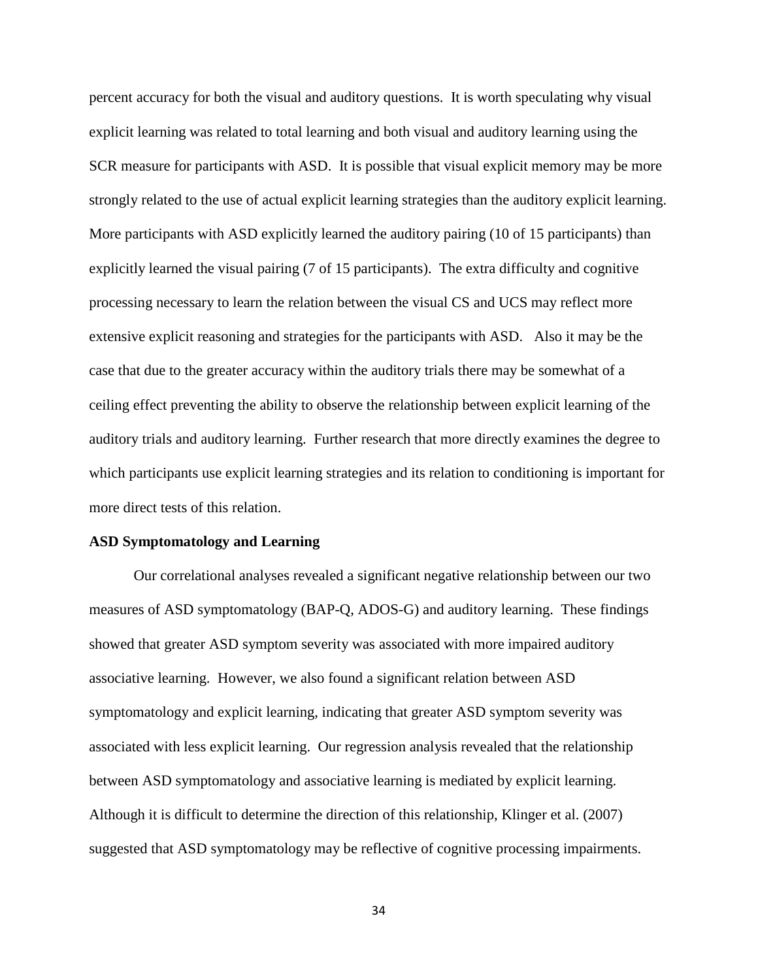percent accuracy for both the visual and auditory questions. It is worth speculating why visual explicit learning was related to total learning and both visual and auditory learning using the SCR measure for participants with ASD. It is possible that visual explicit memory may be more strongly related to the use of actual explicit learning strategies than the auditory explicit learning. More participants with ASD explicitly learned the auditory pairing (10 of 15 participants) than explicitly learned the visual pairing (7 of 15 participants). The extra difficulty and cognitive processing necessary to learn the relation between the visual CS and UCS may reflect more extensive explicit reasoning and strategies for the participants with ASD. Also it may be the case that due to the greater accuracy within the auditory trials there may be somewhat of a ceiling effect preventing the ability to observe the relationship between explicit learning of the auditory trials and auditory learning. Further research that more directly examines the degree to which participants use explicit learning strategies and its relation to conditioning is important for more direct tests of this relation.

#### **ASD Symptomatology and Learning**

Our correlational analyses revealed a significant negative relationship between our two measures of ASD symptomatology (BAP-Q, ADOS-G) and auditory learning. These findings showed that greater ASD symptom severity was associated with more impaired auditory associative learning. However, we also found a significant relation between ASD symptomatology and explicit learning, indicating that greater ASD symptom severity was associated with less explicit learning. Our regression analysis revealed that the relationship between ASD symptomatology and associative learning is mediated by explicit learning. Although it is difficult to determine the direction of this relationship, Klinger et al. (2007) suggested that ASD symptomatology may be reflective of cognitive processing impairments.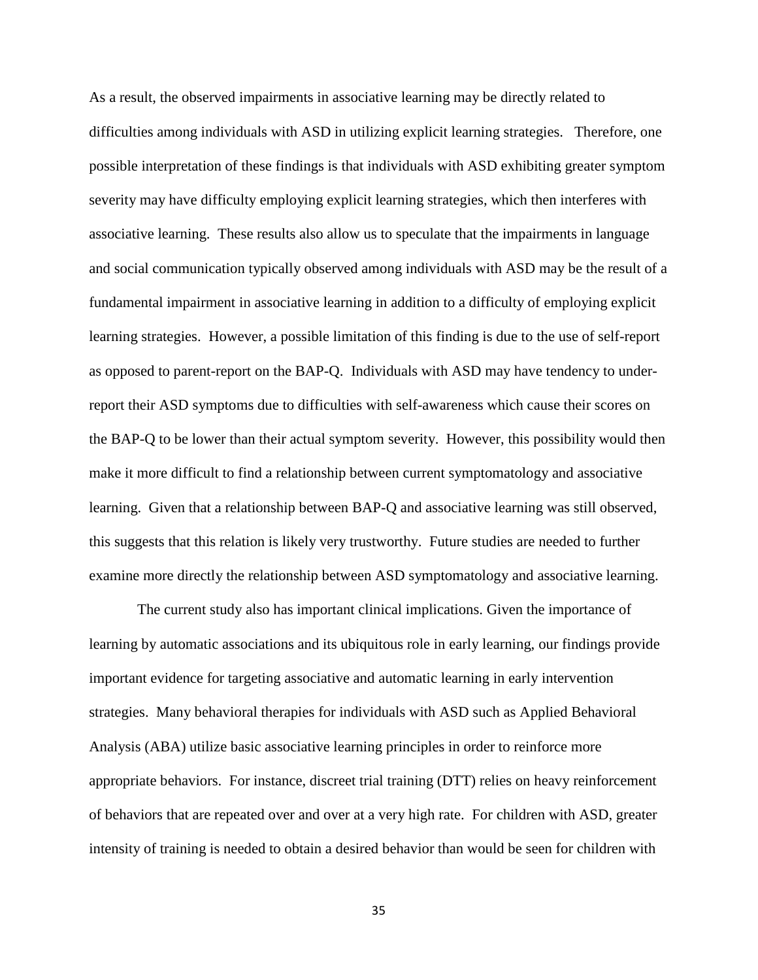As a result, the observed impairments in associative learning may be directly related to difficulties among individuals with ASD in utilizing explicit learning strategies. Therefore, one possible interpretation of these findings is that individuals with ASD exhibiting greater symptom severity may have difficulty employing explicit learning strategies, which then interferes with associative learning. These results also allow us to speculate that the impairments in language and social communication typically observed among individuals with ASD may be the result of a fundamental impairment in associative learning in addition to a difficulty of employing explicit learning strategies. However, a possible limitation of this finding is due to the use of self-report as opposed to parent-report on the BAP-Q. Individuals with ASD may have tendency to underreport their ASD symptoms due to difficulties with self-awareness which cause their scores on the BAP-Q to be lower than their actual symptom severity. However, this possibility would then make it more difficult to find a relationship between current symptomatology and associative learning. Given that a relationship between BAP-Q and associative learning was still observed, this suggests that this relation is likely very trustworthy. Future studies are needed to further examine more directly the relationship between ASD symptomatology and associative learning.

The current study also has important clinical implications. Given the importance of learning by automatic associations and its ubiquitous role in early learning, our findings provide important evidence for targeting associative and automatic learning in early intervention strategies. Many behavioral therapies for individuals with ASD such as Applied Behavioral Analysis (ABA) utilize basic associative learning principles in order to reinforce more appropriate behaviors. For instance, discreet trial training (DTT) relies on heavy reinforcement of behaviors that are repeated over and over at a very high rate. For children with ASD, greater intensity of training is needed to obtain a desired behavior than would be seen for children with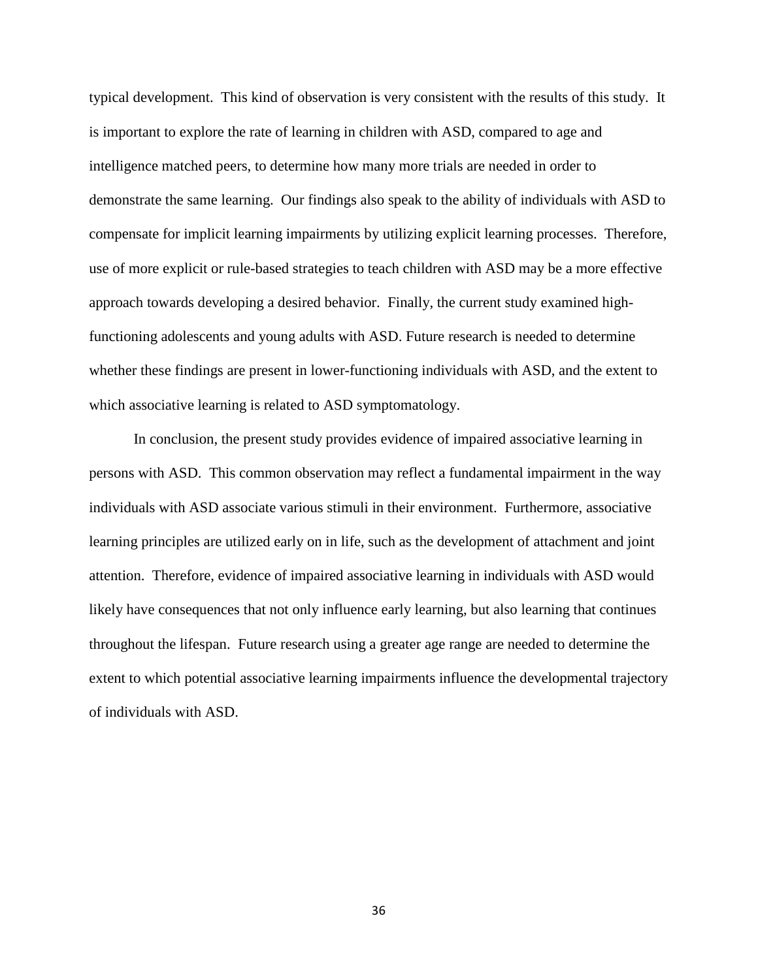typical development. This kind of observation is very consistent with the results of this study. It is important to explore the rate of learning in children with ASD, compared to age and intelligence matched peers, to determine how many more trials are needed in order to demonstrate the same learning. Our findings also speak to the ability of individuals with ASD to compensate for implicit learning impairments by utilizing explicit learning processes. Therefore, use of more explicit or rule-based strategies to teach children with ASD may be a more effective approach towards developing a desired behavior. Finally, the current study examined highfunctioning adolescents and young adults with ASD. Future research is needed to determine whether these findings are present in lower-functioning individuals with ASD, and the extent to which associative learning is related to ASD symptomatology.

In conclusion, the present study provides evidence of impaired associative learning in persons with ASD. This common observation may reflect a fundamental impairment in the way individuals with ASD associate various stimuli in their environment. Furthermore, associative learning principles are utilized early on in life, such as the development of attachment and joint attention. Therefore, evidence of impaired associative learning in individuals with ASD would likely have consequences that not only influence early learning, but also learning that continues throughout the lifespan. Future research using a greater age range are needed to determine the extent to which potential associative learning impairments influence the developmental trajectory of individuals with ASD.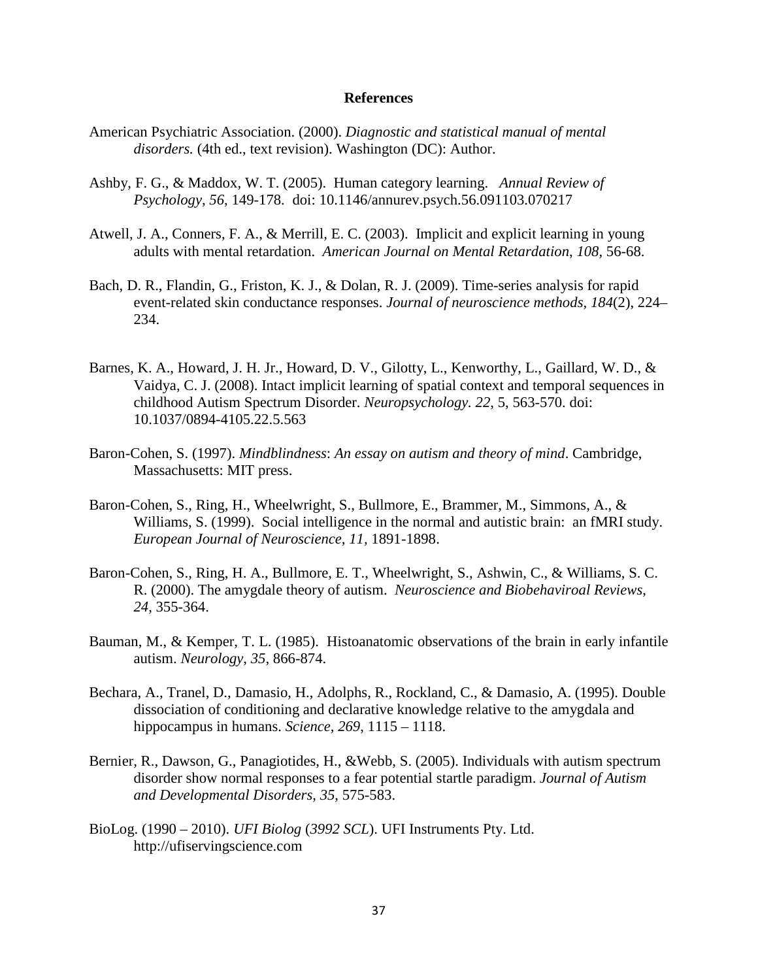#### **References**

- American Psychiatric Association. (2000). *Diagnostic and statistical manual of mental disorders.* (4th ed., text revision). Washington (DC): Author.
- Ashby, F. G., & Maddox, W. T. (2005). Human category learning. *Annual Review of Psychology*, *56*, 149-178. doi: 10.1146/annurev.psych.56.091103.070217
- Atwell, J. A., Conners, F. A., & Merrill, E. C. (2003). Implicit and explicit learning in young adults with mental retardation. *American Journal on Mental Retardation*, *108*, 56-68.
- Bach, D. R., Flandin, G., Friston, K. J., & Dolan, R. J. (2009). Time-series analysis for rapid event-related skin conductance responses. *Journal of neuroscience methods*, *184*(2), 224– 234.
- Barnes, K. A., Howard, J. H. Jr., Howard, D. V., Gilotty, L., Kenworthy, L., Gaillard, W. D., & Vaidya, C. J. (2008). Intact implicit learning of spatial context and temporal sequences in childhood Autism Spectrum Disorder. *Neuropsychology. 22*, 5, 563-570. doi: 10.1037/0894-4105.22.5.563
- Baron-Cohen, S. (1997). *Mindblindness*: *An essay on autism and theory of mind*. Cambridge, Massachusetts: MIT press.
- Baron-Cohen, S., Ring, H., Wheelwright, S., Bullmore, E., Brammer, M., Simmons, A., & Williams, S. (1999). Social intelligence in the normal and autistic brain: an fMRI study. *European Journal of Neuroscience*, *11,* 1891-1898.
- Baron-Cohen, S., Ring, H. A., Bullmore, E. T., Wheelwright, S., Ashwin, C., & Williams, S. C. R. (2000). The amygdale theory of autism. *Neuroscience and Biobehaviroal Reviews*, *24*, 355-364.
- Bauman, M., & Kemper, T. L. (1985). Histoanatomic observations of the brain in early infantile autism. *Neurology*, *35*, 866-874.
- Bechara, A., Tranel, D., Damasio, H., Adolphs, R., Rockland, C., & Damasio, A. (1995). Double dissociation of conditioning and declarative knowledge relative to the amygdala and hippocampus in humans. *Science*, *269*, 1115 – 1118.
- Bernier, R., Dawson, G., Panagiotides, H., &Webb, S. (2005). Individuals with autism spectrum disorder show normal responses to a fear potential startle paradigm. *Journal of Autism and Developmental Disorders*, *35*, 575-583.
- BioLog. (1990 2010). *UFI Biolog* (*3992 SCL*). UFI Instruments Pty. Ltd. http://ufiservingscience.com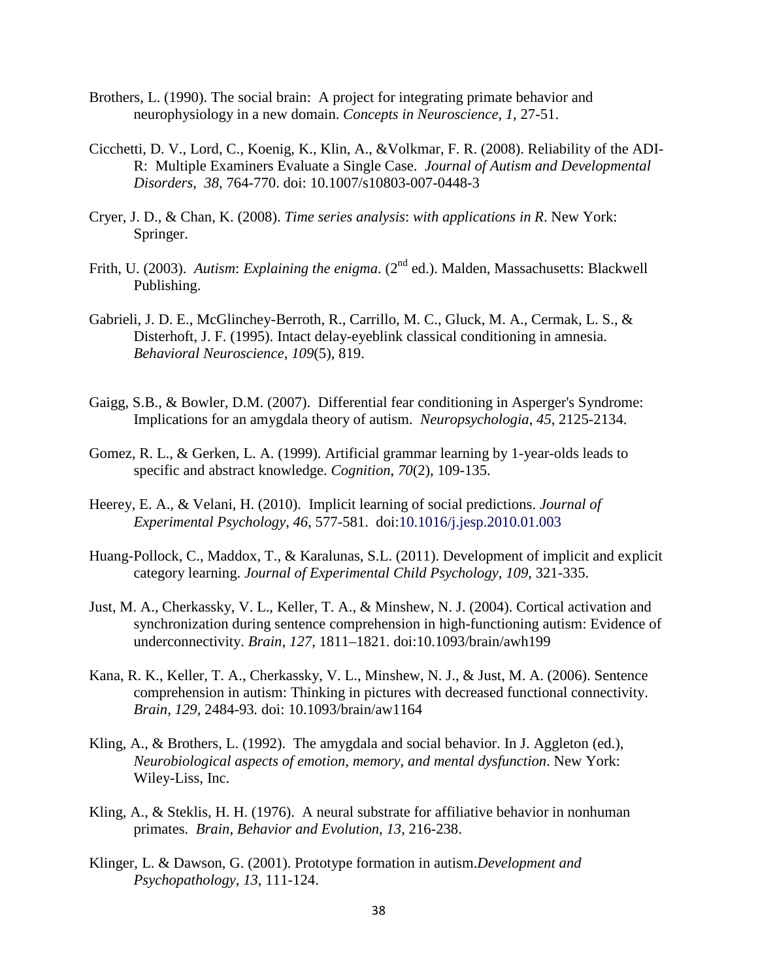- Brothers, L. (1990). The social brain: A project for integrating primate behavior and neurophysiology in a new domain. *Concepts in Neuroscience*, *1*, 27-51.
- Cicchetti, D. V., Lord, C., Koenig, K., Klin, A., &Volkmar, F. R. (2008). Reliability of the ADI-R: Multiple Examiners Evaluate a Single Case. *Journal of Autism and Developmental Disorders*, *38*, 764-770. doi: 10.1007/s10803-007-0448-3
- Cryer, J. D., & Chan, K. (2008). *Time series analysis*: *with applications in R*. New York: Springer.
- Frith, U. (2003). *Autism: Explaining the enigma.* (2<sup>nd</sup> ed.). Malden, Massachusetts: Blackwell Publishing.
- Gabrieli, J. D. E., McGlinchey-Berroth, R., Carrillo, M. C., Gluck, M. A., Cermak, L. S., & Disterhoft, J. F. (1995). Intact delay-eyeblink classical conditioning in amnesia. *Behavioral Neuroscience*, *109*(5), 819.
- Gaigg, S.B., & Bowler, D.M. (2007). Differential fear conditioning in Asperger's Syndrome: Implications for an amygdala theory of autism. *Neuropsychologia*, *45*, 2125-2134.
- Gomez, R. L., & Gerken, L. A. (1999). Artificial grammar learning by 1-year-olds leads to specific and abstract knowledge. *Cognition*, *70*(2), 109-135.
- Heerey, E. A., & Velani, H. (2010). Implicit learning of social predictions. *Journal of Experimental Psychology*, *46*, 577-581. doi:10.1016/j.jesp.2010.01.003
- Huang-Pollock, C., Maddox, T., & Karalunas, S.L. (2011). Development of implicit and explicit category learning. *Journal of Experimental Child Psychology, 109,* 321-335.
- Just, M. A., Cherkassky, V. L., Keller, T. A., & Minshew, N. J. (2004). Cortical activation and synchronization during sentence comprehension in high-functioning autism: Evidence of underconnectivity. *Brain*, *127*, 1811–1821. doi:10.1093/brain/awh199
- Kana, R. K., Keller, T. A., Cherkassky, V. L., Minshew, N. J., & Just, M. A. (2006). Sentence comprehension in autism: Thinking in pictures with decreased functional connectivity. *Brain, 129,* 2484-93*.* doi: 10.1093/brain/aw1164
- Kling, A., & Brothers, L. (1992). The amygdala and social behavior. In J. Aggleton (ed.), *Neurobiological aspects of emotion*, *memory*, *and mental dysfunction*. New York: Wiley-Liss, Inc.
- Kling, A., & Steklis, H. H. (1976). A neural substrate for affiliative behavior in nonhuman primates. *Brain*, *Behavior and Evolution*, *13*, 216-238.
- Klinger, L. & Dawson, G. (2001). Prototype formation in autism.*Development and Psychopathology*, *13*, 111-124.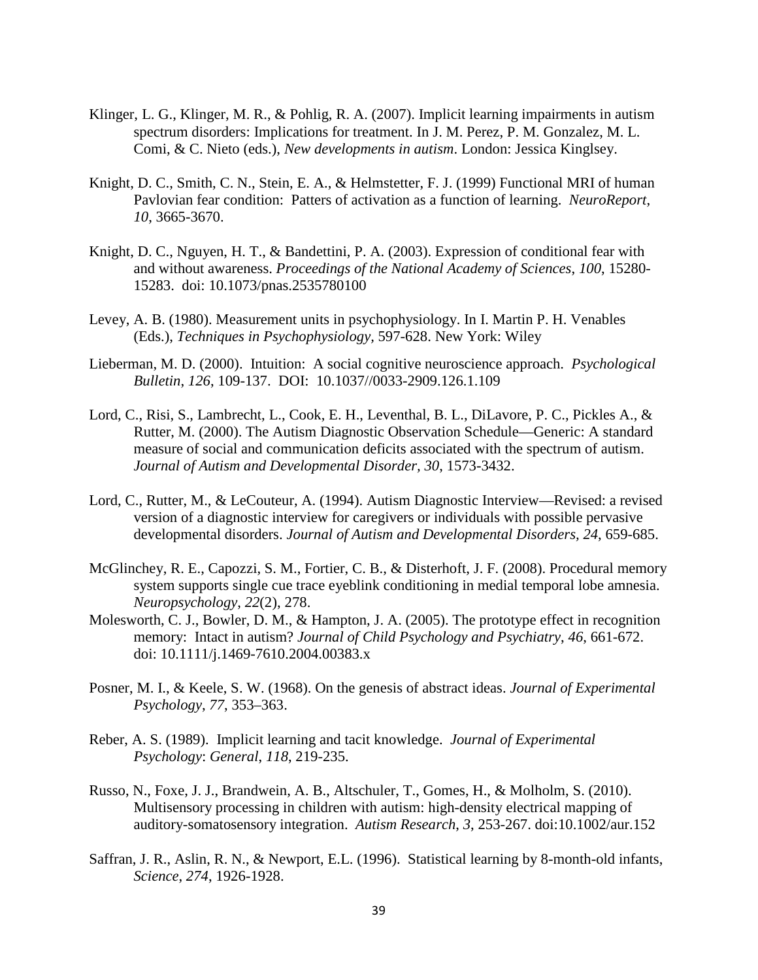- Klinger, L. G., Klinger, M. R., & Pohlig, R. A. (2007). Implicit learning impairments in autism spectrum disorders: Implications for treatment. In J. M. Perez, P. M. Gonzalez, M. L. Comi, & C. Nieto (eds.), *New developments in autism*. London: Jessica Kinglsey.
- Knight, D. C., Smith, C. N., Stein, E. A., & Helmstetter, F. J. (1999) Functional MRI of human Pavlovian fear condition: Patters of activation as a function of learning. *NeuroReport*, *10*, 3665-3670.
- Knight, D. C., Nguyen, H. T., & Bandettini, P. A. (2003). Expression of conditional fear with and without awareness. *Proceedings of the National Academy of Sciences*, *100*, 15280- 15283. doi: 10.1073/pnas.2535780100
- Levey, A. B. (1980). Measurement units in psychophysiology. In I. Martin P. H. Venables (Eds.), *Techniques in Psychophysiology,* 597-628. New York: Wiley
- Lieberman, M. D. (2000). Intuition: A social cognitive neuroscience approach. *Psychological Bulletin*, *126*, 109-137. DOI: 10.1037//0033-2909.126.1.109
- Lord, C., Risi, S., Lambrecht, L., Cook, E. H., Leventhal, B. L., DiLavore, P. C., Pickles A., & Rutter, M. (2000). The Autism Diagnostic Observation Schedule—Generic: A standard measure of social and communication deficits associated with the spectrum of autism. *Journal of Autism and Developmental Disorder, 30*, 1573-3432.
- Lord, C., Rutter, M., & LeCouteur, A. (1994). Autism Diagnostic Interview—Revised: a revised version of a diagnostic interview for caregivers or individuals with possible pervasive developmental disorders. *Journal of Autism and Developmental Disorders, 24*, 659-685.
- McGlinchey, R. E., Capozzi, S. M., Fortier, C. B., & Disterhoft, J. F. (2008). Procedural memory system supports single cue trace eyeblink conditioning in medial temporal lobe amnesia. *Neuropsychology*, *22*(2), 278.
- Molesworth, C. J., Bowler, D. M., & Hampton, J. A. (2005). The prototype effect in recognition memory: Intact in autism? *Journal of Child Psychology and Psychiatry*, *46*, 661-672. doi: 10.1111/j.1469-7610.2004.00383.x
- Posner, M. I., & Keele, S. W. (1968). On the genesis of abstract ideas. *Journal of Experimental Psychology*, *77*, 353–363.
- Reber, A. S. (1989). Implicit learning and tacit knowledge. *Journal of Experimental Psychology*: *General*, *118*, 219-235.
- Russo, N., Foxe, J. J., Brandwein, A. B., Altschuler, T., Gomes, H., & Molholm, S. (2010). Multisensory processing in children with autism: high-density electrical mapping of auditory-somatosensory integration. *Autism Research*, *3*, 253-267. doi:10.1002/aur.152
- Saffran, J. R., Aslin, R. N., & Newport, E.L. (1996). Statistical learning by 8-month-old infants, *Science*, *274*, 1926-1928.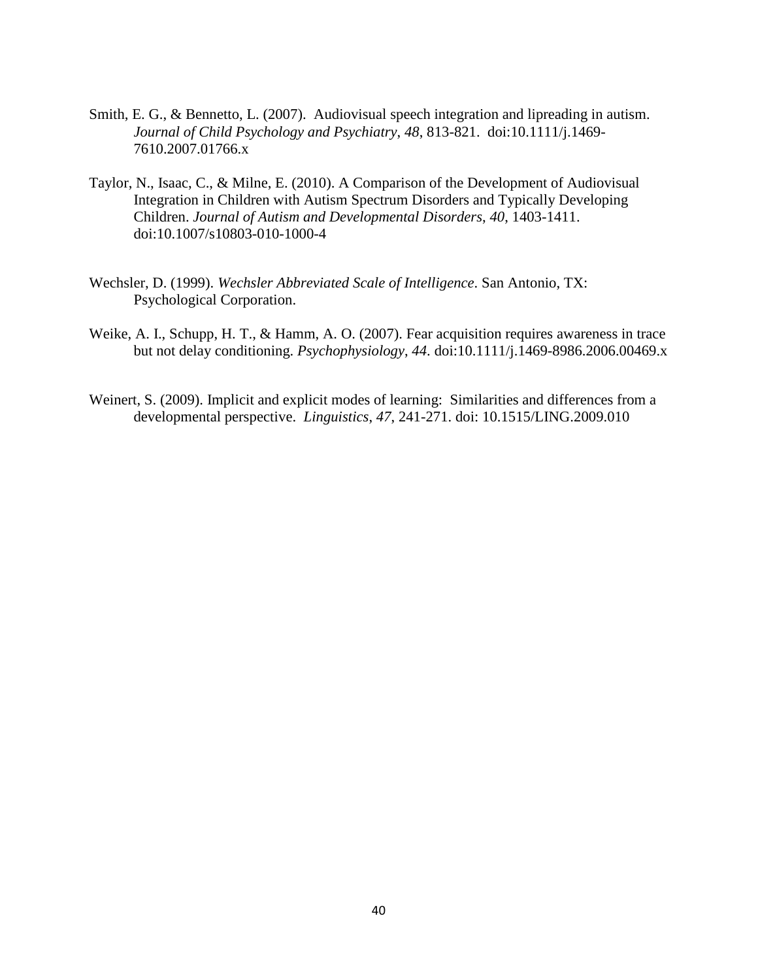- Smith, E. G., & Bennetto, L. (2007). Audiovisual speech integration and lipreading in autism. *Journal of Child Psychology and Psychiatry*, *48*, 813-821. doi:10.1111/j.1469- 7610.2007.01766.x
- Taylor, N., Isaac, C., & Milne, E. (2010). A Comparison of the Development of Audiovisual Integration in Children with Autism Spectrum Disorders and Typically Developing Children. *Journal of Autism and Developmental Disorders*, *40*, 1403-1411. doi:10.1007/s10803-010-1000-4
- Wechsler, D. (1999). *Wechsler Abbreviated Scale of Intelligence*. San Antonio, TX: Psychological Corporation.
- Weike, A. I., Schupp, H. T., & Hamm, A. O. (2007). Fear acquisition requires awareness in trace but not delay conditioning. *Psychophysiology*, *44*. doi:10.1111/j.1469-8986.2006.00469.x
- Weinert, S. (2009). Implicit and explicit modes of learning: Similarities and differences from a developmental perspective. *Linguistics*, *47*, 241-271. doi: 10.1515/LING.2009.010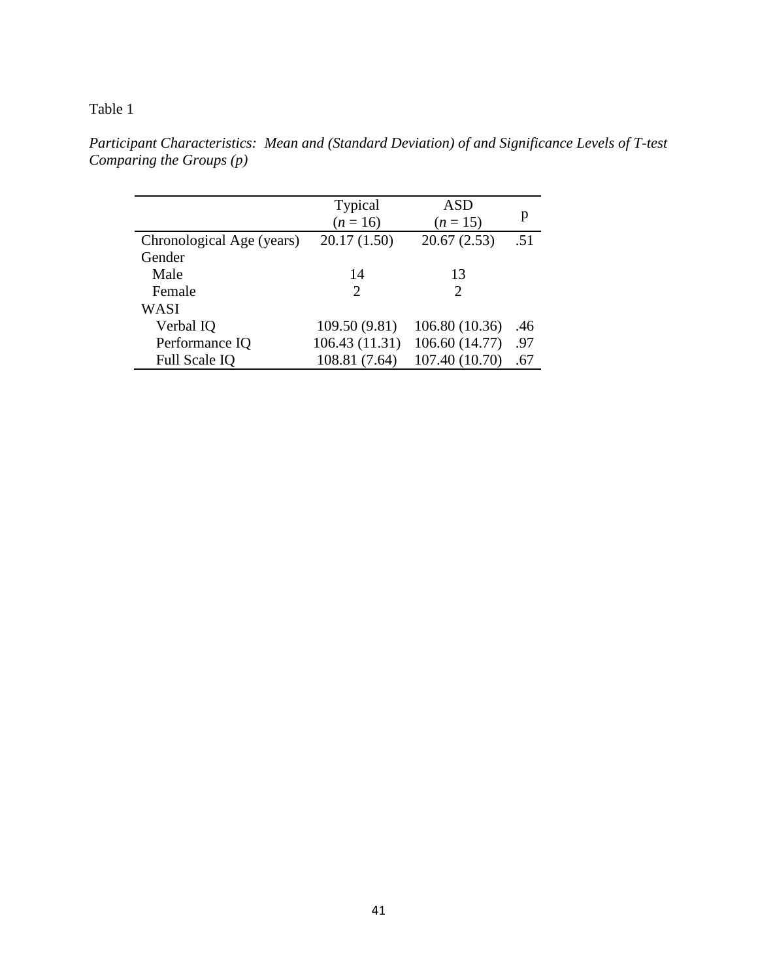## Table 1

|                           | <b>Typical</b>        | ASD            |     |
|---------------------------|-----------------------|----------------|-----|
|                           | $(n = 16)$            | $(n = 15)$     | p   |
| Chronological Age (years) | 20.17(1.50)           | 20.67(2.53)    | .51 |
| Gender                    |                       |                |     |
| Male                      | 14                    | 13             |     |
| Female                    | $\mathcal{D}_{\cdot}$ | 2              |     |
| WASI                      |                       |                |     |
| Verbal IQ                 | 109.50 (9.81)         | 106.80 (10.36) | .46 |
| Performance IQ            | 106.43 (11.31)        | 106.60 (14.77) | .97 |
| Full Scale IQ             | 108.81 (7.64)         | 107.40 (10.70) | .67 |

*Participant Characteristics: Mean and (Standard Deviation) of and Significance Levels of T-test Comparing the Groups (p)*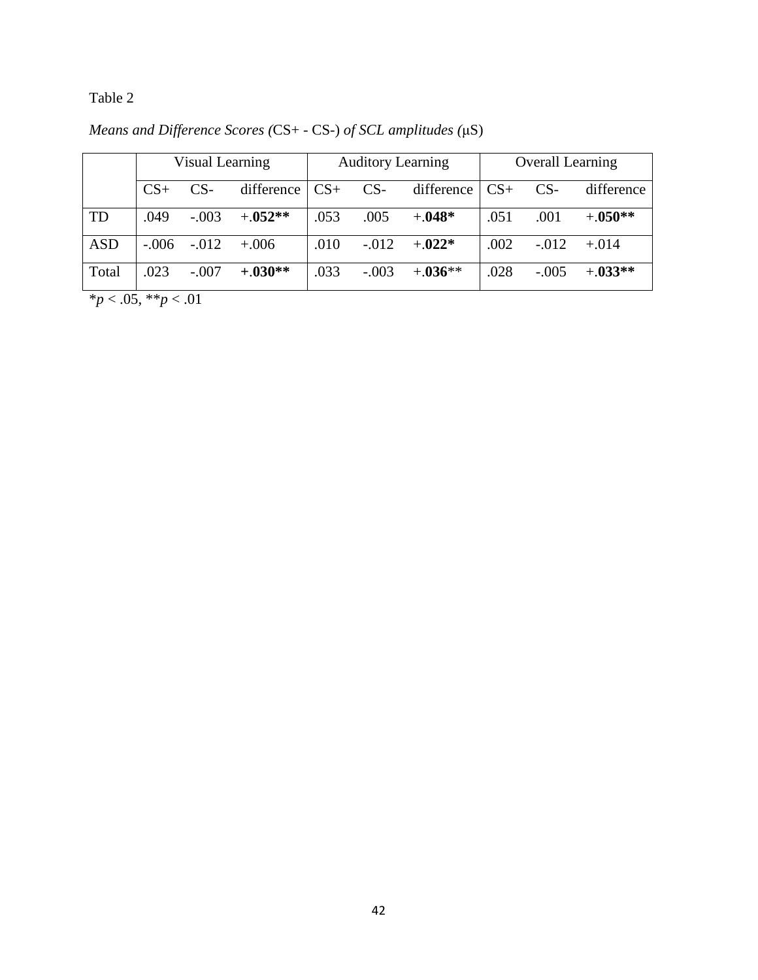Table 2

|            | Visual Learning |         |            | <b>Auditory Learning</b> |         |                        | <b>Overall Learning</b> |         |            |
|------------|-----------------|---------|------------|--------------------------|---------|------------------------|-------------------------|---------|------------|
|            | $CS+$           | $CS-$   | difference | $CS+$                    | $CS-$   | difference $\vert$ CS+ |                         | $CS-$   | difference |
| TD         | .049            | $-.003$ | $+.052**$  | .053                     | .005    | $+.048*$               | .051                    | .001    | $+.050**$  |
| <b>ASD</b> | $-.006$         | $-.012$ | $+.006$    | .010                     | $-.012$ | $+0.022*$              | .002                    | $-.012$ | $+.014$    |
| Total      | .023            | $-.007$ | $+.030**$  | .033                     | $-.003$ | $+0.36**$              | .028                    | $-.005$ | $+.033**$  |

*Means and Difference Scores (*CS+ - CS-) *of SCL amplitudes (*μS)

\**p* < .05, \*\**p* < .01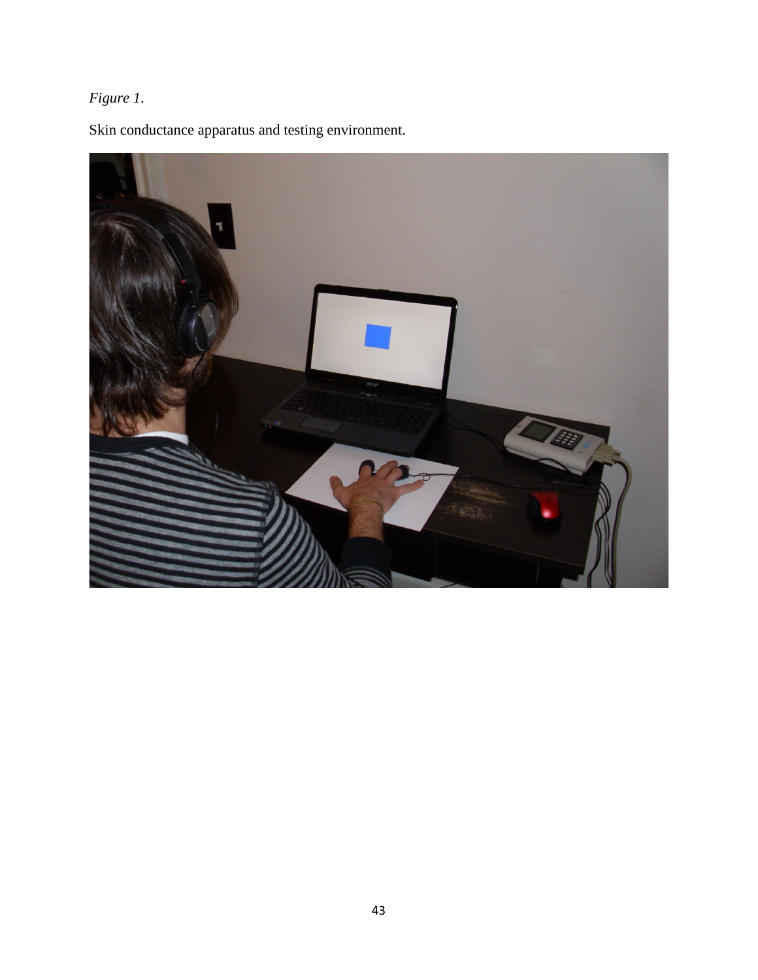# *Figure 1*.

Skin conductance apparatus and testing environment.

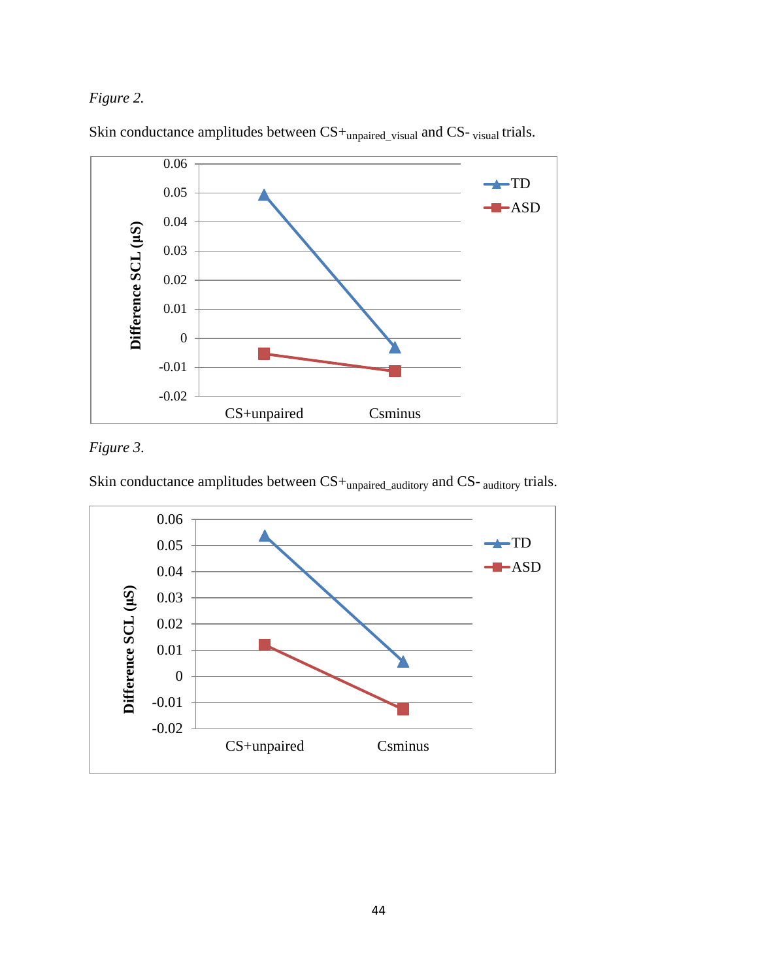## *Figure 2.*



Skin conductance amplitudes between  $CS+_{\text{unpaired\_visual}}$  and CS- visual trials.

# *Figure 3*.

Skin conductance amplitudes between CS+unpaired\_auditory and CS- auditory trials.

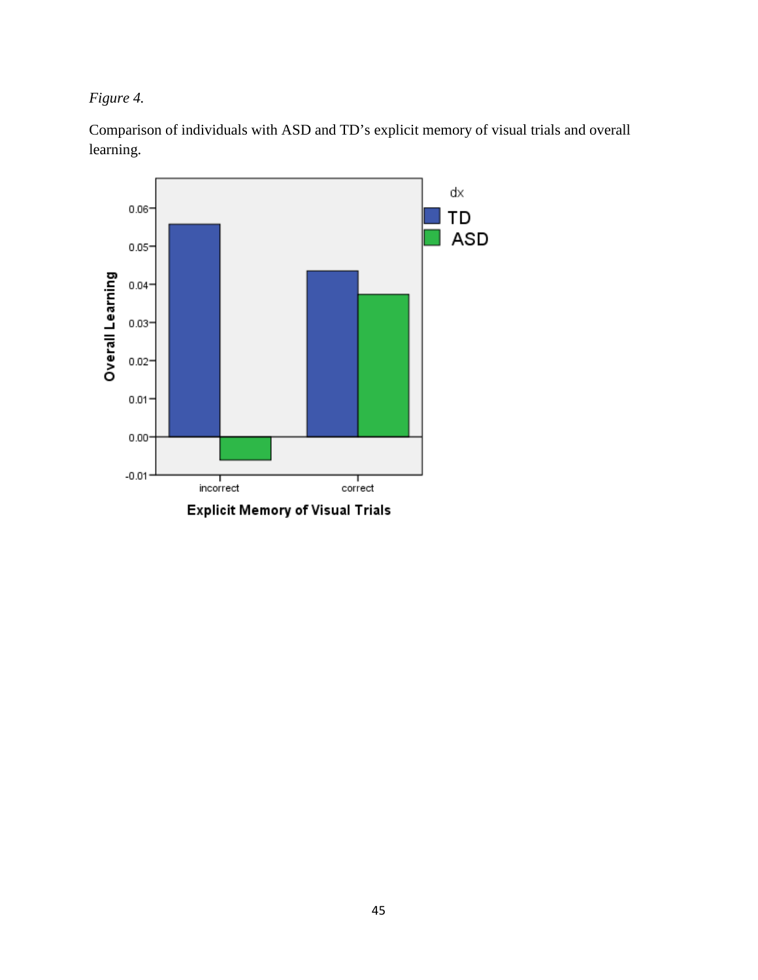*Figure 4.* 

Comparison of individuals with ASD and TD's explicit memory of visual trials and overall learning.

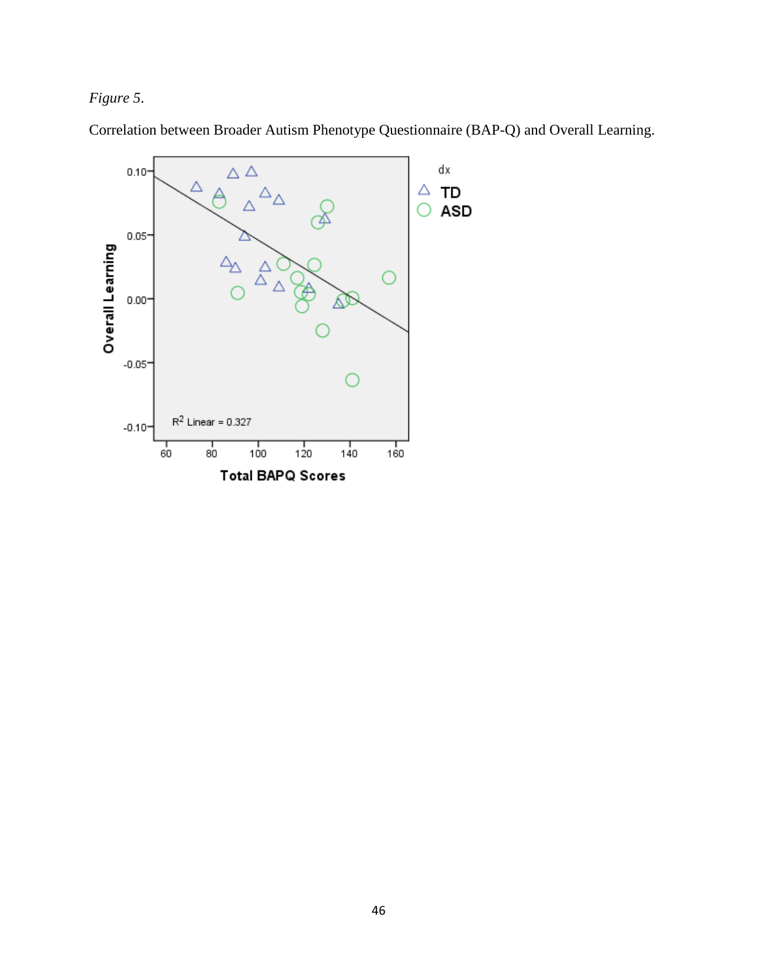# *Figure 5*.



Correlation between Broader Autism Phenotype Questionnaire (BAP-Q) and Overall Learning.